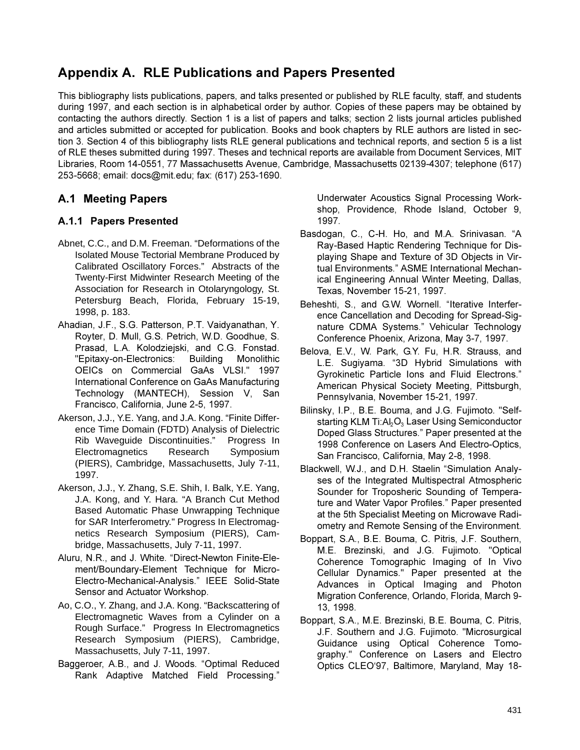# **Appendix A. RLE Publications and Papers Presented**

This bibliography lists publications, papers, and talks presented or published by RLE faculty, staff, and students during 1997, and each section is in alphabetical order by author. Copies of these papers may be obtained by contacting the authors directly. Section 1 is a list of papers and talks; section 2 lists journal articles published and articles submitted or accepted for publication. Books and book chapters by RLE authors are listed in section 3. Section 4 of this bibliography lists RLE general publications and technical reports, and section 5 is a list of RLE theses submitted during 1997. Theses and technical reports are available from Document Services, MIT Libraries, Room 14-0551, 77 Massachusetts Avenue, Cambridge, Massachusetts 02139-4307; telephone (617) 253-5668; email: docs@mit.edu; fax: (617) 253-1690.

# **A.1 Meeting Papers**

## A.1.1 Papers Presented

- Abnet, C.C., and D.M. Freeman. "Deformations of the Isolated Mouse Tectorial Membrane Produced by Calibrated Oscillatory Forces." Abstracts of the Twenty-First Midwinter Research Meeting of the Association for Research in Otolaryngology, St. Petersburg Beach, Florida, February 15-19, 1998, p. 183.
- Ahadian, J.F., S.G. Patterson, P.T. Vaidyanathan, Y. Royter, D. Mull, G.S. Petrich, W.D. Goodhue, S. Prasad, L.A. Kolodziejski, and C.G. Fonstad. "Epitaxy-on-Electronics: Building Monolithic OEICs on Commercial GaAs VLSI." 1997 International Conference on GaAs Manufacturing Technology (MANTECH), Session V, San Francisco, California, June 2-5, 1997.
- Akerson, J.J., Y.E. Yang, and J.A. Kong. "Finite Difference Time Domain (FDTD) Analysis of Dielectric Rib Waveguide Discontinuities." Progress In Electromagnetics Research Symposium (PIERS), Cambridge, Massachusetts, July 7-11, 1997.
- Akerson, J.J., Y. Zhang, S.E. Shih, I. Balk, Y.E. Yang, J.A. Kong, and Y. Hara. "A Branch Cut Method Based Automatic Phase Unwrapping Technique for SAR Interferometry." Progress In Electromagnetics Research Symposium (PIERS), Cambridge, Massachusetts, July 7-11, 1997.
- Aluru, N.R., and J. White. "Direct-Newton Finite-Element/Boundary-Element Technique for Micro-Electro-Mechanical-Analysis." IEEE Solid-State Sensor and Actuator Workshop.
- Ao, C.O., Y. Zhang, and J.A. Kong. "Backscattering of Electromagnetic Waves from a Cylinder on a Rough Surface." Progress In Electromagnetics Research Symposium (PIERS), Cambridge, Massachusetts, July 7-11, 1997.
- Baggeroer, A.B., and J. Woods. "Optimal Reduced Rank Adaptive Matched Field Processing."

Underwater Acoustics Signal Processing Workshop, Providence, Rhode Island, October 9, 1997.

- Basdogan, C., C-H. Ho, and M.A. Srinivasan. "A Ray-Based Haptic Rendering Technique for Displaying Shape and Texture of 3D Objects in Virtual Environments." ASME International Mechanical Engineering Annual Winter Meeting, Dallas, Texas, November 15-21, 1997.
- Beheshti, S., and G.W. Wornell. "Iterative Interference Cancellation and Decoding for Spread-Signature CDMA Systems." Vehicular Technology Conference Phoenix, Arizona, May 3-7, 1997.
- Belova, E.V., W. Park, G.Y. Fu, H.R. Strauss, and L.E. Sugiyama. "3D Hybrid Simulations with Gyrokinetic Particle Ions and Fluid Electrons." American Physical Society Meeting, Pittsburgh, Pennsylvania, November 15-21, 1997.
- Bilinsky, I.P., B.E. Bouma, and J.G. Fujimoto. "Selfstarting KLM Ti:Al<sub>2</sub>O<sub>3</sub> Laser Using Semiconductor Doped Glass Structures." Paper presented at the 1998 Conference on Lasers And Electro-Optics. San Francisco, California, May 2-8, 1998.
- Blackwell, W.J., and D.H. Staelin "Simulation Analyses of the Integrated Multispectral Atmospheric Sounder for Troposheric Sounding of Temperature and Water Vapor Profiles." Paper presented at the 5th Specialist Meeting on Microwave Radiometry and Remote Sensing of the Environment.
- Boppart, S.A., B.E. Bouma, C. Pitris, J.F. Southern, M.E. Brezinski, and J.G. Fujimoto. "Optical Coherence Tomographic Imaging of In Vivo Cellular Dynamics." Paper presented at the Advances in Optical Imaging and Photon Migration Conference, Orlando, Florida, March 9-13, 1998.
- Boppart, S.A., M.E. Brezinski, B.E. Bouma, C. Pitris, J.F. Southern and J.G. Fujimoto. "Microsurgical Guidance using Optical Coherence Tomography." Conference on Lasers and Electro Optics CLEO'97, Baltimore, Maryland, May 18-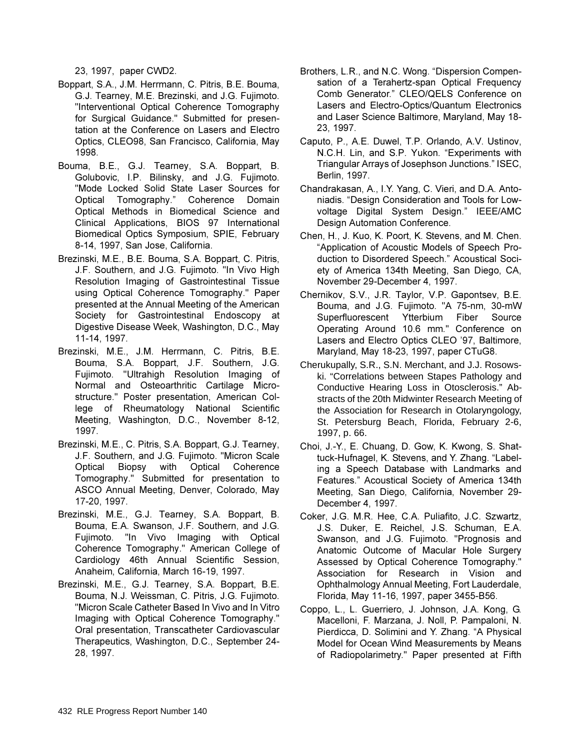23, 1997, paper CWD2.

- Boppart, S.A., J.M. Herrmann, C. Pitris, B.E. Bouma, G.J. Tearney, M.E. Brezinski, and J.G. Fujimoto. "Interventional Optical Coherence Tomography for Surgical Guidance." Submitted for presentation at the Conference on Lasers and Electro Optics, CLEO98, San Francisco, California, May 1998.
- Bouma, B.E., G.J. Tearney, S.A. Boppart, B. Golubovic, I.P. Bilinsky, and J.G. Fujimoto. "Mode Locked Solid State Laser Sources for Optical Tomography." Coherence Domain Optical Methods in Biomedical Science and Clinical Applications, BIOS 97 International Biomedical Optics Symposium, SPIE, February 8-14, 1997, San Jose, California.
- Brezinski, M.E., B.E. Bouma, S.A. Boppart, C. Pitris, J.F. Southern, and J.G. Fujimoto. "In Vivo High Resolution Imaging of Gastrointestinal Tissue using Optical Coherence Tomography." Paper presented at the Annual Meeting of the American Society for Gastrointestinal Endoscopy at Digestive Disease Week, Washington, D.C., May 11-14, 1997.
- Brezinski, M.E., J.M. Herrmann, C. Pitris, B.E. Bouma, S.A. Boppart, J.F. Southern, J.G. Fujimoto. "Ultrahigh Resolution Imaging of Normal and Osteoarthritic Cartilage Microstructure." Poster presentation, American College of Rheumatology National Scientific Meeting, Washington, D.C., November 8-12, 1997.
- Brezinski, M.E., C. Pitris, S.A. Boppart, G.J. Tearney, J.F. Southern, and J.G. Fujimoto. "Micron Scale Optical Biopsy with Optical Coherence Tomography." Submitted for presentation to ASCO Annual Meeting, Denver, Colorado, May 17-20, 1997.
- Brezinski, M.E., G.J. Tearney, S.A. Boppart, B. Bouma, E.A. Swanson, J.F. Southern, and J.G. Fujimoto. "In Vivo Imaging with Optical Coherence Tomography." American College of Cardiology 46th Annual Scientific Session, Anaheim, California, March 16-19, 1997.
- Brezinski, M.E., G.J. Tearney, S.A. Boppart, B.E. Bouma, N.J. Weissman, C. Pitris, J.G. Fujimoto. "Micron Scale Catheter Based In Vivo and In Vitro Imaging with Optical Coherence Tomography." Oral presentation, Transcatheter Cardiovascular Therapeutics, Washington, D.C., September 24-28, 1997.
- Brothers, L.R., and N.C. Wong. "Dispersion Compensation of a Terahertz-span Optical Frequency Comb Generator." CLEO/QELS Conference on Lasers and Electro-Optics/Quantum Electronics and Laser Science Baltimore, Maryland, May 18-23, 1997.
- Caputo, P., A.E. Duwel, T.P. Orlando, A.V. Ustinov, N.C.H. Lin, and S.P. Yukon. "Experiments with Triangular Arrays of Josephson Junctions." ISEC, Berlin, 1997.
- Chandrakasan, A., I.Y. Yang, C. Vieri, and D.A. Antohiadis. "Design Consideration and Tools for Lowvoltage Digital System Design." IEEE/AMC Design Automation Conference.
- Chen, H., J. Kuo, K. Poort, K. Stevens, and M. Chen. "Application of Acoustic Models of Speech Production to Disordered Speech." Acoustical Society of America 134th Meeting, San Diego, CA, November 29-December 4, 1997.
- Chernikov, S.V., J.R. Taylor, V.P. Gapontsev, B.E. Bouma, and J.G. Fujimoto. "A 75-nm, 30-mW Superfluorescent Ytterbium Fiber Source Operating Around 10.6 mm." Conference on Lasers and Electro Optics CLEO '97, Baltimore, Maryland, May 18-23, 1997, paper CTuG8.
- Cherukupally, S.R., S.N. Merchant, and J.J. Rosowski. "Correlations between Stapes Pathology and Conductive Hearing Loss in Otosclerosis." Abstracts of the 20th Midwinter Research Meeting of the Association for Research in Otolaryngology, St. Petersburg Beach, Florida, February 2-6, 1997, p. 66.
- Choi, J.-Y., E. Chuang, D. Gow, K. Kwong, S. Shattuck-Hufnagel, K. Stevens, and Y. Zhang. "Labeling a Speech Database with Landmarks and Features." Acoustical Society of America 134th Meeting, San Diego, California, November 29-December 4, 1997.
- Coker, J.G. M.R. Hee, C.A. Puliafito, J.C. Szwartz, J.S. Duker, E. Reichel, J.S. Schuman, E.A. Swanson, and J.G. Fujimoto. "Prognosis and Anatomic Outcome of Macular Hole Surgery Assessed by Optical Coherence Tomography." Association for Research in Vision and Ophthalmology Annual Meeting, Fort Lauderdale, Florida, May 11-16, 1997, paper 3455-B56.
- Coppo, L., L. Guerriero, J. Johnson, J.A. Kong, G. Macelloni, F. Marzana, J. Noll, P. Pampaloni, N. Pierdicca, D. Solimini and Y. Zhang. "A Physical Model for Ocean Wind Measurements by Means of Radiopolarimetry." Paper presented at Fifth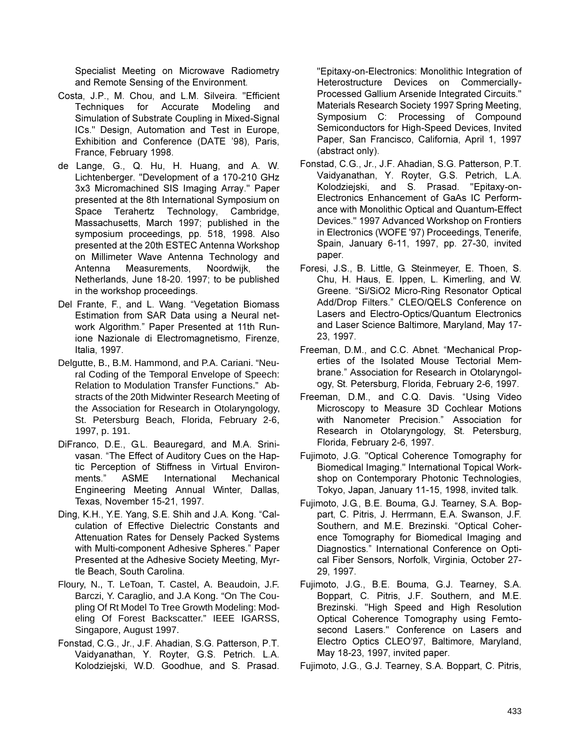Specialist Meeting on Microwave Radiometry and Remote Sensing of the Environment.

- Costa, J.P., M. Chou, and L.M. Silveira. "Efficient Techniques for Accurate Modeling and Simulation of Substrate Coupling in Mixed-Signal ICs." Design, Automation and Test in Europe, Exhibition and Conference (DATE '98), Paris, France, February 1998.
- de Lange, G., Q. Hu, H. Huang, and A. W. Lichtenberger. "Development of a 170-210 GHz 3x3 Micromachined SIS Imaging Array." Paper presented at the 8th International Symposium on Terahertz Technology, Cambridge. Space Massachusetts, March 1997; published in the symposium proceedings, pp. 518, 1998. Also presented at the 20th ESTEC Antenna Workshop on Millimeter Wave Antenna Technology and Antenna Measurements. Noordwijk, the Netherlands, June 18-20. 1997; to be published in the workshop proceedings.
- Del Frante, F., and L. Wang. "Vegetation Biomass Estimation from SAR Data using a Neural network Algorithm." Paper Presented at 11th Runione Nazionale di Electromagnetismo, Firenze, Italia, 1997.
- Delgutte, B., B.M. Hammond, and P.A. Cariani. "Neural Coding of the Temporal Envelope of Speech: Relation to Modulation Transfer Functions." Abstracts of the 20th Midwinter Research Meeting of the Association for Research in Otolaryngology, St. Petersburg Beach, Florida, February 2-6, 1997, p. 191.
- DiFranco, D.E., G.L. Beauregard, and M.A. Srinivasan. "The Effect of Auditory Cues on the Haptic Perception of Stiffness in Virtual Environments." **ASME** International Mechanical Engineering Meeting Annual Winter, Dallas, Texas, November 15-21, 1997.
- Ding, K.H., Y.E. Yang, S.E. Shih and J.A. Kong. "Calculation of Effective Dielectric Constants and Attenuation Rates for Densely Packed Systems with Multi-component Adhesive Spheres." Paper Presented at the Adhesive Society Meeting, Myrtle Beach, South Carolina.
- Floury, N., T. LeToan, T. Castel, A. Beaudoin, J.F. Barczi, Y. Caraglio, and J.A Kong. "On The Coupling Of Rt Model To Tree Growth Modeling: Modeling Of Forest Backscatter." IEEE IGARSS, Singapore, August 1997.
- Fonstad, C.G., Jr., J.F. Ahadian, S.G. Patterson, P.T. Vaidyanathan, Y. Royter, G.S. Petrich. L.A. Kolodziejski, W.D. Goodhue, and S. Prasad.

"Epitaxy-on-Electronics: Monolithic Integration of Heterostructure Devices on Commercially-Processed Gallium Arsenide Integrated Circuits." Materials Research Society 1997 Spring Meeting, Symposium C: Processing of Compound Semiconductors for High-Speed Devices, Invited Paper, San Francisco, California, April 1, 1997 (abstract only).

- Fonstad, C.G., Jr., J.F. Ahadian, S.G. Patterson, P.T. Vaidyanathan, Y. Royter, G.S. Petrich, L.A. Kolodziejski, and S. Prasad. "Epitaxy-on-Electronics Enhancement of GaAs IC Performance with Monolithic Optical and Quantum-Effect Devices." 1997 Advanced Workshop on Frontiers in Electronics (WOFE '97) Proceedings, Tenerife, Spain, January 6-11, 1997, pp. 27-30, invited paper.
- Foresi, J.S., B. Little, G. Steinmeyer, E. Thoen, S. Chu, H. Haus, E. Ippen, L. Kimerling, and W. Greene. "Si/SiO2 Micro-Ring Resonator Optical Add/Drop Filters." CLEO/QELS Conference on Lasers and Electro-Optics/Quantum Electronics and Laser Science Baltimore, Maryland, May 17-23, 1997.
- Freeman, D.M., and C.C. Abnet. "Mechanical Properties of the Isolated Mouse Tectorial Membrane." Association for Research in Otolaryngology, St. Petersburg, Florida, February 2-6, 1997.
- Freeman. D.M., and C.Q. Davis. "Using Video Microscopy to Measure 3D Cochlear Motions with Nanometer Precision." Association for Research in Otolaryngology, St. Petersburg, Florida, February 2-6, 1997.
- Fujimoto, J.G. "Optical Coherence Tomography for Biomedical Imaging." International Topical Workshop on Contemporary Photonic Technologies, Tokyo, Japan, January 11-15, 1998, invited talk.
- Fujimoto, J.G., B.E. Bouma, G.J. Tearney, S.A. Boppart, C. Pitris, J. Herrmann, E.A. Swanson, J.F. Southern, and M.E. Brezinski. "Optical Coherence Tomography for Biomedical Imaging and Diagnostics." International Conference on Optical Fiber Sensors, Norfolk, Virginia, October 27-29.1997.
- Fujimoto, J.G., B.E. Bouma, G.J. Tearney, S.A. Boppart, C. Pitris, J.F. Southern, and M.E. Brezinski. "High Speed and High Resolution Optical Coherence Tomography using Femtosecond Lasers." Conference on Lasers and Electro Optics CLEO'97, Baltimore, Maryland, May 18-23, 1997, invited paper.
- Fujimoto, J.G., G.J. Tearney, S.A. Boppart, C. Pitris,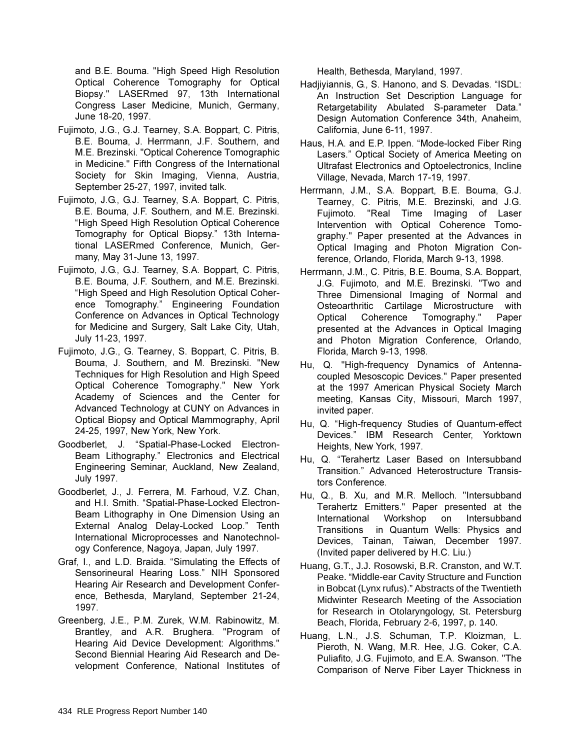and B.E. Bouma. "High Speed High Resolution Optical Coherence Tomography for Optical Biopsy." LASERmed 97, 13th International Congress Laser Medicine, Munich, Germany, June 18-20, 1997.

- Fujimoto, J.G., G.J. Tearney, S.A. Boppart, C. Pitris, B.E. Bouma, J. Herrmann, J.F. Southern, and M.E. Brezinski. "Optical Coherence Tomographic in Medicine." Fifth Congress of the International Society for Skin Imaging, Vienna, Austria, September 25-27, 1997, invited talk.
- Fuilmoto, J.G., G.J., Tearney, S.A. Boppart, C. Pitris. B.E. Bouma, J.F. Southern, and M.E. Brezinski. "High Speed High Resolution Optical Coherence Tomography for Optical Biopsy." 13th International LASERmed Conference, Munich, Germany, May 31-June 13, 1997.
- Fujimoto, J.G., G.J. Tearney, S.A. Boppart, C. Pitris, B.E. Bouma, J.F. Southern, and M.E. Brezinski. "High Speed and High Resolution Optical Coherence Tomography." Engineering Foundation Conference on Advances in Optical Technology for Medicine and Surgery, Salt Lake City, Utah, July 11-23, 1997.
- Fujimoto, J.G., G. Tearney, S. Boppart, C. Pitris, B. Bouma, J. Southern, and M. Brezinski. "New Techniques for High Resolution and High Speed Optical Coherence Tomography." New York Academy of Sciences and the Center for Advanced Technology at CUNY on Advances in Optical Biopsy and Optical Mammography, April 24-25, 1997, New York, New York.
- Goodberlet. J. "Spatial-Phase-Locked Electron-Beam Lithography." Electronics and Electrical Engineering Seminar, Auckland, New Zealand, July 1997.
- Goodberlet, J., J. Ferrera, M. Farhoud, V.Z. Chan, and H.I. Smith. "Spatial-Phase-Locked Electron-Beam Lithography in One Dimension Using an External Analog Delay-Locked Loop." Tenth International Microprocesses and Nanotechnology Conference, Nagoya, Japan, July 1997.
- Graf, I., and L.D. Braida. "Simulating the Effects of Sensorineural Hearing Loss." NIH Sponsored Hearing Air Research and Development Conference, Bethesda, Maryland, September 21-24, 1997.
- Greenberg, J.E., P.M. Zurek, W.M. Rabinowitz, M. Brantley, and A.R. Brughera. "Program of Hearing Aid Device Development: Algorithms." Second Biennial Hearing Aid Research and Development Conference, National Institutes of

Health, Bethesda, Maryland, 1997.

- Hadjiviannis, G., S. Hanono, and S. Devadas. "ISDL: An Instruction Set Description Language for Retargetability Abulated S-parameter Data." Design Automation Conference 34th, Anaheim, California, June 6-11, 1997.
- Haus, H.A. and E.P. Ippen. "Mode-locked Fiber Ring Lasers." Optical Society of America Meeting on Ultrafast Electronics and Optoelectronics, Incline Village, Nevada, March 17-19, 1997.
- Herrmann, J.M., S.A. Boppart, B.E. Bouma, G.J. Tearney, C. Pitris, M.E. Brezinski, and J.G. Fujimoto. "Real Time Imaging of Laser Intervention with Optical Coherence Tomography." Paper presented at the Advances in Optical Imaging and Photon Migration Conference, Orlando, Florida, March 9-13, 1998.
- Herrmann, J.M., C. Pitris, B.E. Bouma, S.A. Boppart. J.G. Fujimoto, and M.E. Brezinski. "Two and Three Dimensional Imaging of Normal and Osteoarthritic Cartilage Microstructure with Optical Coherence Tomography." Paper presented at the Advances in Optical Imaging and Photon Migration Conference, Orlando, Florida, March 9-13, 1998.
- Hu, Q. "High-frequency Dynamics of Antennacoupled Mesoscopic Devices." Paper presented at the 1997 American Physical Society March meeting, Kansas City, Missouri, March 1997, invited paper.
- Hu, Q. "High-frequency Studies of Quantum-effect Devices." IBM Research Center, Yorktown Heights, New York, 1997.
- Hu. Q. "Terahertz Laser Based on Intersubband Transition." Advanced Heterostructure Transistors Conference.
- Hu, Q., B. Xu, and M.R. Melloch. "Intersubband Terahertz Emitters." Paper presented at the International Workshop on Intersubband Transitions in Quantum Wells: Physics and Devices, Tainan, Taiwan, December 1997. (Invited paper delivered by  $H.C.$  Liu.)
- Huang, G.T., J.J. Rosowski, B.R. Cranston, and W.T. Peake. "Middle-ear Cavity Structure and Function in Bobcat (Lynx rufus)." Abstracts of the Twentieth Midwinter Research Meeting of the Association for Research in Otolaryngology, St. Petersburg Beach, Florida, February 2-6, 1997, p. 140.
- Huang, L.N., J.S. Schuman, T.P. Kloizman, L. Pieroth, N. Wang, M.R. Hee, J.G. Coker, C.A. Puliafito, J.G. Fujimoto, and E.A. Swanson. "The Comparison of Nerve Fiber Layer Thickness in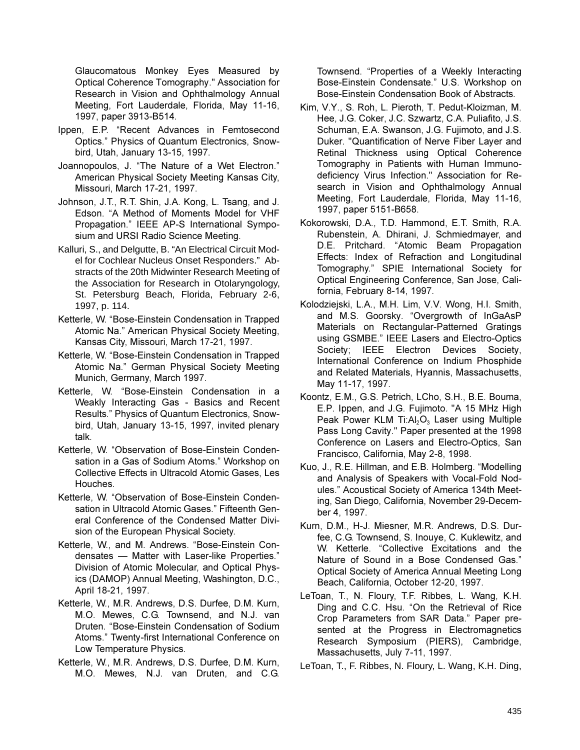Glaucomatous Monkey Eyes Measured by Optical Coherence Tomography." Association for Research in Vision and Ophthalmology Annual Meeting, Fort Lauderdale, Florida, May 11-16, 1997, paper 3913-B514.

- Ippen, E.P. "Recent Advances in Femtosecond Optics." Physics of Quantum Electronics, Snowbird, Utah, January 13-15, 1997.
- Joannopoulos, J. "The Nature of a Wet Electron." American Physical Society Meeting Kansas City. Missouri. March 17-21, 1997.
- Johnson, J.T., R.T. Shin, J.A. Kong, L. Tsang, and J. Edson. "A Method of Moments Model for VHF Propagation." IEEE AP-S International Symposium and URSI Radio Science Meeting.
- Kalluri, S., and Delgutte, B. "An Electrical Circuit Model for Cochlear Nucleus Onset Responders." Abstracts of the 20th Midwinter Research Meeting of the Association for Research in Otolaryngology, St. Petersburg Beach, Florida, February 2-6, 1997, p. 114.
- Ketterle, W. "Bose-Einstein Condensation in Trapped Atomic Na." American Physical Society Meeting, Kansas City, Missouri, March 17-21, 1997.
- Ketterle, W. "Bose-Einstein Condensation in Trapped Atomic Na." German Physical Society Meeting Munich, Germany, March 1997.
- Ketterle, W. "Bose-Einstein Condensation in a Weakly Interacting Gas - Basics and Recent Results." Physics of Quantum Electronics, Snowbird, Utah, January 13-15, 1997, invited plenary talk.
- Ketterle, W. "Observation of Bose-Einstein Condensation in a Gas of Sodium Atoms." Workshop on Collective Effects in Ultracold Atomic Gases, Les Houches.
- Ketterle. W. "Observation of Bose-Einstein Condensation in Ultracold Atomic Gases." Fifteenth General Conference of the Condensed Matter Division of the European Physical Society.
- Ketterle, W., and M. Andrews. "Bose-Einstein Condensates - Matter with Laser-like Properties." Division of Atomic Molecular, and Optical Physics (DAMOP) Annual Meeting, Washington, D.C., April 18-21, 1997.
- Ketterle, W., M.R. Andrews, D.S. Durfee, D.M. Kurn, M.O. Mewes, C.G. Townsend, and N.J. van Druten. "Bose-Einstein Condensation of Sodium Atoms." Twenty-first International Conference on Low Temperature Physics.
- Ketterle, W., M.R. Andrews, D.S. Durfee, D.M. Kurn, M.O. Mewes, N.J. van Druten, and C.G.

Townsend. "Properties of a Weekly Interacting Bose-Einstein Condensate." U.S. Workshop on Bose-Einstein Condensation Book of Abstracts.

- Kim, V.Y., S. Roh, L. Pieroth, T. Pedut-Kloizman, M. Hee, J.G. Coker, J.C. Szwartz, C.A. Puliafito, J.S. Schuman, E.A. Swanson, J.G. Fujimoto, and J.S. Duker. "Quantification of Nerve Fiber Layer and Retinal Thickness using Optical Coherence Tomography in Patients with Human Immunodeficiency Virus Infection." Association for Research in Vision and Ophthalmology Annual Meeting, Fort Lauderdale, Florida, May 11-16, 1997, paper 5151-B658.
- Kokorowski, D.A., T.D. Hammond, E.T. Smith, R.A. Rubenstein, A. Dhirani, J. Schmiedmayer, and D.E. Pritchard. "Atomic Beam Propagation Effects: Index of Refraction and Longitudinal Tomography." SPIE International Society for Optical Engineering Conference, San Jose, California, February 8-14, 1997.
- Kolodziejski, L.A., M.H. Lim, V.V. Wong, H.I. Smith, and M.S. Goorsky. "Overgrowth of InGaAsP Materials on Rectangular-Patterned Gratings using GSMBE." IEEE Lasers and Electro-Optics Society; IEEE Electron Devices Society, International Conference on Indium Phosphide and Related Materials, Hyannis, Massachusetts, May 11-17, 1997.
- Koontz, E.M., G.S. Petrich, LCho, S.H., B.E. Bouma, E.P. Ippen, and J.G. Fujimoto. "A 15 MHz High Peak Power KLM Ti: $Al_2O_3$  Laser using Multiple Pass Long Cavity." Paper presented at the 1998 Conference on Lasers and Electro-Optics, San Francisco, California, May 2-8, 1998.
- Kuo, J., R.E. Hillman, and E.B. Holmberg. "Modelling and Analysis of Speakers with Vocal-Fold Nodules." Acoustical Society of America 134th Meeting, San Diego, California, November 29-December 4, 1997.
- Kurn, D.M., H-J. Miesner, M.R. Andrews, D.S. Durfee, C.G. Townsend, S. Inouye, C. Kuklewitz, and W. Ketterle. "Collective Excitations and the Nature of Sound in a Bose Condensed Gas." Optical Society of America Annual Meeting Long Beach, California, October 12-20, 1997.
- LeToan, T., N. Floury, T.F. Ribbes, L. Wang, K.H. Ding and C.C. Hsu. "On the Retrieval of Rice Crop Parameters from SAR Data." Paper presented at the Progress in Electromagnetics Research Symposium (PIERS), Cambridge, Massachusetts, July 7-11, 1997.
- LeToan, T., F. Ribbes, N. Floury, L. Wang, K.H. Ding,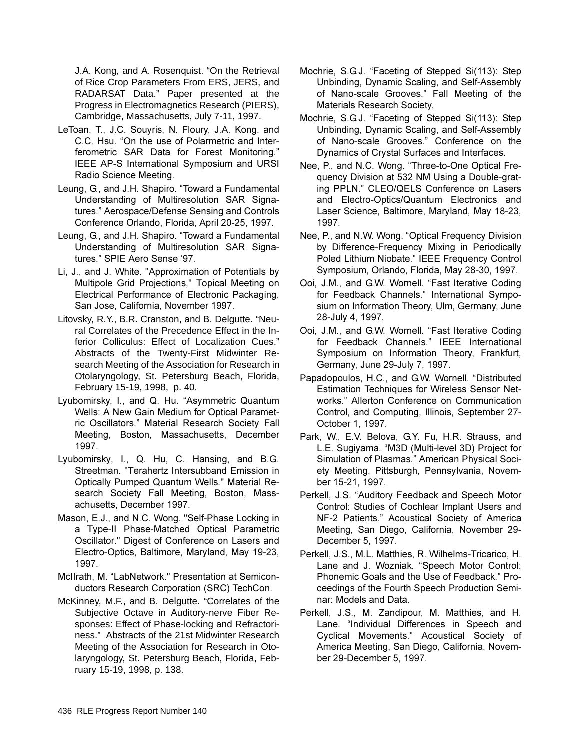J.A. Kong, and A. Rosenquist. "On the Retrieval of Rice Crop Parameters From ERS, JERS, and RADARSAT Data." Paper presented at the Progress in Electromagnetics Research (PIERS), Cambridge, Massachusetts, July 7-11, 1997.

- LeToan, T., J.C. Souyris, N. Floury, J.A. Kong, and C.C. Hsu. "On the use of Polarmetric and Interferometric SAR Data for Forest Monitoring." IEEE AP-S International Symposium and URSI Radio Science Meeting.
- Leung, G., and J.H. Shapiro. "Toward a Fundamental Understanding of Multiresolution SAR Signatures." Aerospace/Defense Sensing and Controls Conference Orlando, Florida, April 20-25, 1997.
- Leung, G., and J.H. Shapiro. "Toward a Fundamental Understanding of Multiresolution SAR Signatures." SPIE Aero Sense '97.
- Li, J., and J. White. "Approximation of Potentials by Multipole Grid Projections," Topical Meeting on Electrical Performance of Electronic Packaging, San Jose, California, November 1997.
- Litovsky, R.Y., B.R. Cranston, and B. Delgutte. "Neural Correlates of the Precedence Effect in the Inferior Colliculus: Effect of Localization Cues." Abstracts of the Twenty-First Midwinter Research Meeting of the Association for Research in Otolaryngology, St. Petersburg Beach, Florida, February 15-19, 1998, p. 40.
- Lyubomirsky, I., and Q. Hu. "Asymmetric Quantum Wells: A New Gain Medium for Optical Parametric Oscillators." Material Research Society Fall Meeting, Boston, Massachusetts, December 1997.
- Lyubomirsky, I., Q. Hu, C. Hansing, and B.G. Streetman. "Terahertz Intersubband Emission in Optically Pumped Quantum Wells." Material Research Society Fall Meeting, Boston, Massachusetts, December 1997.
- Mason, E.J., and N.C. Wong. "Self-Phase Locking in a Type-II Phase-Matched Optical Parametric Oscillator." Digest of Conference on Lasers and Electro-Optics, Baltimore, Maryland, May 19-23, 1997.
- McIIrath, M. "LabNetwork." Presentation at Semiconductors Research Corporation (SRC) TechCon.
- McKinney, M.F., and B. Delgutte. "Correlates of the Subjective Octave in Auditory-nerve Fiber Responses: Effect of Phase-locking and Refractoriness." Abstracts of the 21st Midwinter Research Meeting of the Association for Research in Otolaryngology, St. Petersburg Beach, Florida, February 15-19, 1998, p. 138.
- Mochrie, S.G.J. "Faceting of Stepped Si(113): Step Unbinding, Dynamic Scaling, and Self-Assembly of Nano-scale Grooves." Fall Meeting of the Materials Research Society.
- Mochrie, S.G.J. "Faceting of Stepped Si(113): Step Unbinding, Dynamic Scaling, and Self-Assembly of Nano-scale Grooves." Conference on the Dynamics of Crystal Surfaces and Interfaces.
- Nee, P., and N.C. Wong. "Three-to-One Optical Frequency Division at 532 NM Using a Double-grating PPLN." CLEO/QELS Conference on Lasers and Electro-Optics/Quantum Electronics and Laser Science, Baltimore, Maryland, May 18-23, 1997.
- Nee, P., and N.W. Wong. "Optical Frequency Division by Difference-Frequency Mixing in Periodically Poled Lithium Niobate." IEEE Frequency Control Symposium, Orlando, Florida, May 28-30, 1997.
- Ooi, J.M., and G.W. Wornell. "Fast Iterative Coding for Feedback Channels." International Symposium on Information Theory, Ulm, Germany, June 28-July 4, 1997.
- Ooi, J.M., and G.W. Wornell. "Fast Iterative Coding for Feedback Channels." IEEE International Symposium on Information Theory, Frankfurt, Germany, June 29-July 7, 1997.
- Papadopoulos, H.C., and G.W. Wornell. "Distributed Estimation Techniques for Wireless Sensor Networks." Allerton Conference on Communication Control, and Computing, Illinois, September 27-October 1, 1997.
- Park, W., E.V. Belova, G.Y. Fu, H.R. Strauss, and L.E. Sugiyama. "M3D (Multi-level 3D) Project for Simulation of Plasmas." American Physical Society Meeting, Pittsburgh, Pennsylvania, November 15-21, 1997.
- Perkell, J.S. "Auditory Feedback and Speech Motor Control: Studies of Cochlear Implant Users and NF-2 Patients." Acoustical Society of America Meeting, San Diego, California, November 29-December 5, 1997.
- Perkell, J.S., M.L. Matthies, R. Wilhelms-Tricarico, H. Lane and J. Wozniak. "Speech Motor Control: Phonemic Goals and the Use of Feedback." Proceedings of the Fourth Speech Production Seminar: Models and Data.
- Perkell, J.S., M. Zandipour, M. Matthies, and H. Lane. "Individual Differences in Speech and Cyclical Movements." Acoustical Society of America Meeting, San Diego, California, November 29-December 5, 1997.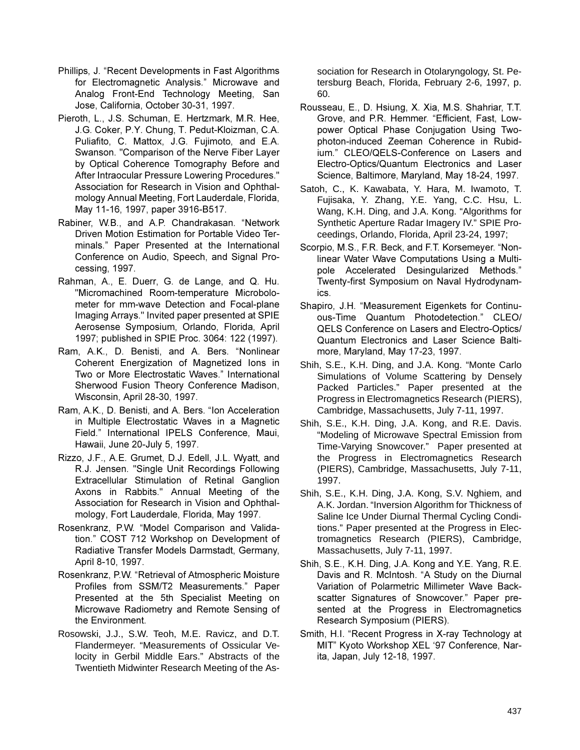- Phillips, J. "Recent Developments in Fast Algorithms for Electromagnetic Analysis." Microwave and Analog Front-End Technology Meeting, San Jose, California, October 30-31, 1997.
- Pieroth, L., J.S. Schuman, E. Hertzmark, M.R. Hee, J.G. Coker, P.Y. Chung, T. Pedut-Kloizman, C.A. Puliafito, C. Mattox, J.G. Fujimoto, and E.A. Swanson. "Comparison of the Nerve Fiber Layer by Optical Coherence Tomography Before and After Intraocular Pressure Lowering Procedures." Association for Research in Vision and Ophthalmology Annual Meeting, Fort Lauderdale, Florida, May 11-16, 1997, paper 3916-B517.
- Rabiner, W.B., and A.P. Chandrakasan, "Network Driven Motion Estimation for Portable Video Terminals." Paper Presented at the International Conference on Audio, Speech, and Signal Processing, 1997.
- Rahman, A., E. Duerr, G. de Lange, and Q. Hu. "Micromachined Room-temperature Microbolometer for mm-wave Detection and Focal-plane Imaging Arrays." Invited paper presented at SPIE Aerosense Symposium, Orlando, Florida, April 1997; published in SPIE Proc. 3064: 122 (1997).
- Ram, A.K., D. Benisti, and A. Bers. "Nonlinear Coherent Energization of Magnetized Ions in Two or More Electrostatic Waves." International Sherwood Fusion Theory Conference Madison, Wisconsin, April 28-30, 1997.
- Ram, A.K., D. Benisti, and A. Bers. "Ion Acceleration in Multiple Electrostatic Waves in a Magnetic Field." International IPELS Conference, Maui, Hawaii, June 20-July 5, 1997.
- Rizzo, J.F., A.E. Grumet, D.J. Edell, J.L. Wyatt, and R.J. Jensen. "Single Unit Recordings Following Extracellular Stimulation of Retinal Ganglion Axons in Rabbits." Annual Meeting of the Association for Research in Vision and Ophthalmology, Fort Lauderdale, Florida, May 1997.
- Rosenkranz, P.W. "Model Comparison and Validation." COST 712 Workshop on Development of Radiative Transfer Models Darmstadt, Germany, April 8-10, 1997.
- Rosenkranz, P.W. "Retrieval of Atmospheric Moisture Profiles from SSM/T2 Measurements." Paper Presented at the 5th Specialist Meeting on Microwave Radiometry and Remote Sensing of the Environment.
- Rosowski, J.J., S.W. Teoh, M.E. Ravicz, and D.T. Flandermeyer. "Measurements of Ossicular Velocity in Gerbil Middle Ears." Abstracts of the Twentieth Midwinter Research Meeting of the As-

sociation for Research in Otolaryngology, St. Petersburg Beach, Florida, February 2-6, 1997, p. 60.

- Rousseau, E., D. Hsiung, X. Xia, M.S. Shahriar, T.T. Grove, and P.R. Hemmer. "Efficient, Fast, Lowpower Optical Phase Conjugation Using Twophoton-induced Zeeman Coherence in Rubidium." CLEO/QELS-Conference on Lasers and Electro-Optics/Quantum Electronics and Laser Science, Baltimore, Maryland, May 18-24, 1997.
- Satoh, C., K. Kawabata, Y. Hara, M. Iwamoto, T. Fujisaka, Y. Zhang, Y.E. Yang, C.C. Hsu, L. Wang, K.H. Ding, and J.A. Kong. "Algorithms for Synthetic Aperture Radar Imagery IV." SPIE Proceedings, Orlando, Florida, April 23-24, 1997;
- Scorpio, M.S., F.R. Beck. and F.T. Korsemever. "Nonlinear Water Wave Computations Using a Multipole Accelerated Desingularized Methods." Twenty-first Symposium on Naval Hydrodynamics.
- Shapiro, J.H. "Measurement Eigenkets for Continuous-Time Quantum Photodetection." CLEO/ QELS Conference on Lasers and Electro-Optics/ Quantum Electronics and Laser Science Baltimore, Maryland, May 17-23, 1997.
- Shih, S.E., K.H. Ding, and J.A. Kong. "Monte Carlo Simulations of Volume Scattering by Densely Packed Particles." Paper presented at the Progress in Electromagnetics Research (PIERS), Cambridge, Massachusetts, July 7-11, 1997.
- Shih, S.E., K.H. Ding, J.A. Kong, and R.E. Davis. "Modeling of Microwave Spectral Emission from Time-Varying Snowcover." Paper presented at the Progress in Electromagnetics Research (PIERS), Cambridge, Massachusetts, July 7-11, 1997.
- Shih, S.E., K.H. Ding, J.A. Kong, S.V. Nghiem, and A.K. Jordan. "Inversion Algorithm for Thickness of Saline Ice Under Diurnal Thermal Cycling Conditions." Paper presented at the Progress in Electromagnetics Research (PIERS), Cambridge, Massachusetts, July 7-11, 1997.
- Shih, S.E., K.H. Ding, J.A. Kong and Y.E. Yang, R.E. Davis and R. McIntosh. "A Study on the Diurnal Variation of Polarmetric Millimeter Wave Backscatter Signatures of Snowcover." Paper presented at the Progress in Electromagnetics Research Symposium (PIERS).
- Smith, H.I. "Recent Progress in X-ray Technology at MIT" Kyoto Workshop XEL '97 Conference, Narita, Japan, July 12-18, 1997.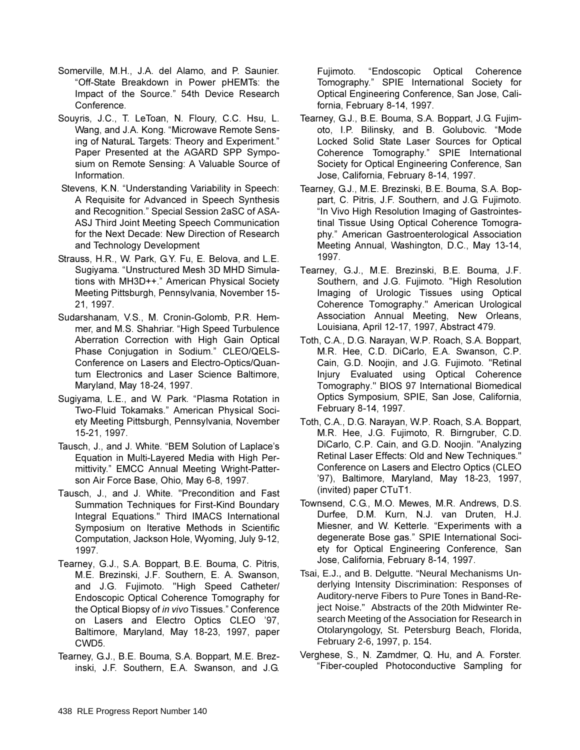- Somerville, M.H., J.A. del Alamo, and P. Saunier. "Off-State Breakdown in Power pHEMTs: the Impact of the Source." 54th Device Research Conference.
- Souyris, J.C., T. LeToan, N. Floury, C.C. Hsu, L. Wang, and J.A. Kong. "Microwave Remote Sensing of NaturaL Targets: Theory and Experiment." Paper Presented at the AGARD SPP Symposium on Remote Sensing: A Valuable Source of Information.
- Stevens, K.N. "Understanding Variability in Speech: A Requisite for Advanced in Speech Synthesis and Recognition." Special Session 2aSC of ASA-ASJ Third Joint Meeting Speech Communication for the Next Decade: New Direction of Research and Technology Development
- Strauss, H.R., W. Park, G.Y. Fu, E. Belova, and L.E. Sugiyama. "Unstructured Mesh 3D MHD Simulations with MH3D++." American Physical Society Meeting Pittsburgh, Pennsylvania, November 15-21, 1997.
- Sudarshanam, V.S., M. Cronin-Golomb, P.R. Hemmer, and M.S. Shahriar. "High Speed Turbulence Aberration Correction with High Gain Optical Phase Conjugation in Sodium." CLEO/QELS-Conference on Lasers and Electro-Optics/Quantum Electronics and Laser Science Baltimore, Maryland, May 18-24, 1997.
- Sugiyama, L.E., and W. Park. "Plasma Rotation in Two-Fluid Tokamaks." American Physical Society Meeting Pittsburgh, Pennsylvania, November 15-21, 1997.
- Tausch, J., and J. White. "BEM Solution of Laplace's Equation in Multi-Layered Media with High Permittivity." EMCC Annual Meeting Wright-Patterson Air Force Base, Ohio, May 6-8, 1997.
- Tausch, J., and J. White. "Precondition and Fast Summation Techniques for First-Kind Boundary Integral Equations." Third IMACS International Symposium on Iterative Methods in Scientific Computation, Jackson Hole, Wyoming, July 9-12, 1997.
- Tearney, G.J., S.A. Boppart, B.E. Bouma, C. Pitris, M.E. Brezinski, J.F. Southern, E. A. Swanson, and J.G. Fujimoto. "High Speed Catheter/ Endoscopic Optical Coherence Tomography for the Optical Biopsy of in vivo Tissues." Conference on Lasers and Electro Optics CLEO '97, Baltimore, Maryland, May 18-23, 1997, paper CWD<sub>5</sub>.
- Tearney, G.J., B.E. Bouma, S.A. Boppart, M.E. Brezinski, J.F. Southern, E.A. Swanson, and J.G.

"Endoscopic Optical Coherence Fujimoto. Tomography." SPIE International Society for Optical Engineering Conference, San Jose, California, February 8-14, 1997.

- Tearney, G.J., B.E. Bouma, S.A. Boppart, J.G. Fujimoto, I.P. Bilinsky, and B. Golubovic. "Mode Locked Solid State Laser Sources for Optical Coherence Tomography." SPIE International Society for Optical Engineering Conference, San Jose, California, February 8-14, 1997.
- Tearney, G.J., M.E. Brezinski, B.E. Bouma, S.A. Boppart, C. Pitris, J.F. Southern, and J.G. Fujimoto. "In Vivo High Resolution Imaging of Gastrointestinal Tissue Using Optical Coherence Tomography." American Gastroenterological Association Meeting Annual, Washington, D.C., May 13-14, 1997.
- Tearney, G.J., M.E. Brezinski, B.E. Bouma, J.F. Southern, and J.G. Fujimoto. "High Resolution Imaging of Urologic Tissues using Optical Coherence Tomography." American Urological Association Annual Meeting, New Orleans, Louisiana, April 12-17, 1997, Abstract 479.
- Toth, C.A., D.G. Narayan, W.P. Roach, S.A. Boppart, M.R. Hee, C.D. DiCarlo, E.A. Swanson, C.P. Cain, G.D. Noojin, and J.G. Fujimoto. "Retinal Injury Evaluated using Optical Coherence Tomography." BIOS 97 International Biomedical Optics Symposium, SPIE, San Jose, California, February 8-14, 1997.
- Toth, C.A., D.G. Narayan, W.P. Roach, S.A. Boppart, M.R. Hee, J.G. Fujimoto, R. Birngruber, C.D. DiCarlo, C.P. Cain, and G.D. Noojin. "Analyzing Retinal Laser Effects: Old and New Techniques." Conference on Lasers and Electro Optics (CLEO '97), Baltimore, Maryland, May 18-23, 1997, (invited) paper CTuT1.
- Townsend, C.G., M.O. Mewes, M.R. Andrews, D.S. Durfee, D.M. Kurn, N.J. van Druten, H.J. Miesner, and W. Ketterle. "Experiments with a degenerate Bose gas." SPIE International Society for Optical Engineering Conference, San Jose, California, February 8-14, 1997.
- Tsai, E.J., and B. Delgutte. "Neural Mechanisms Underlying Intensity Discrimination: Responses of Auditory-nerve Fibers to Pure Tones in Band-Reiect Noise." Abstracts of the 20th Midwinter Research Meeting of the Association for Research in Otolaryngology, St. Petersburg Beach, Florida, February 2-6, 1997, p. 154.
- Verghese, S., N. Zamdmer, Q. Hu, and A. Forster. "Fiber-coupled Photoconductive Sampling for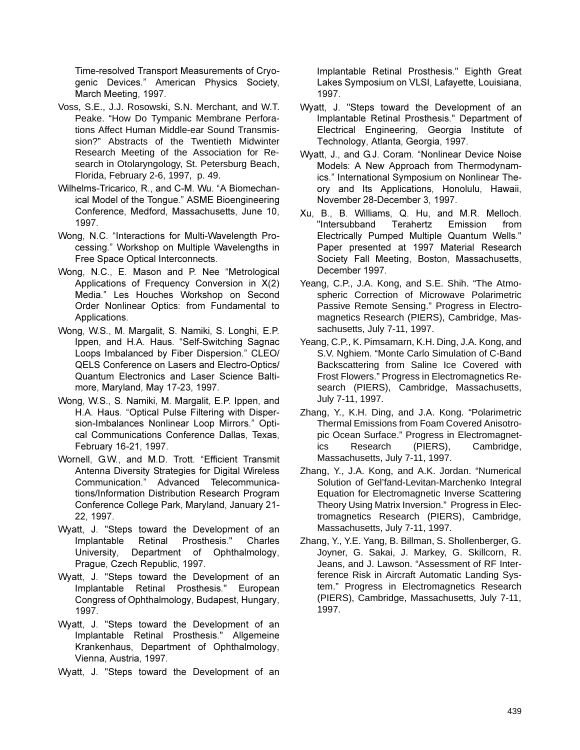Time-resolved Transport Measurements of Cryogenic Devices." American Physics Society, March Meeting, 1997.

- Voss, S.E., J.J. Rosowski, S.N. Merchant, and W.T. Peake. "How Do Tympanic Membrane Perforations Affect Human Middle-ear Sound Transmission?" Abstracts of the Twentieth Midwinter Research Meeting of the Association for Research in Otolaryngology, St. Petersburg Beach, Florida, February 2-6, 1997, p. 49.
- Wilhelms-Tricarico, R., and C-M. Wu. "A Biomechanical Model of the Tonque." ASME Bioengineering Conference, Medford, Massachusetts, June 10, 1997.
- Wong, N.C. "Interactions for Multi-Wavelength Processing." Workshop on Multiple Wavelengths in Free Space Optical Interconnects.
- Wong, N.C., E. Mason and P. Nee "Metrological Applications of Frequency Conversion in X(2) Media." Les Houches Workshop on Second Order Nonlinear Optics: from Fundamental to Applications.
- Wong, W.S., M. Margalit, S. Namiki, S. Longhi, E.P. Ippen, and H.A. Haus. "Self-Switching Sagnac Loops Imbalanced by Fiber Dispersion." CLEO/ QELS Conference on Lasers and Electro-Optics/ Quantum Electronics and Laser Science Baltimore, Maryland, May 17-23, 1997.
- Wong, W.S., S. Namiki, M. Margalit, E.P. Ippen, and H.A. Haus. "Optical Pulse Filtering with Dispersion-Imbalances Nonlinear Loop Mirrors." Optical Communications Conference Dallas, Texas, February 16-21, 1997.
- Wornell, G.W., and M.D. Trott. "Efficient Transmit Antenna Diversity Strategies for Digital Wireless Communication." Advanced Telecommunications/Information Distribution Research Program Conference College Park, Maryland, January 21-22, 1997.
- Wyatt, J. "Steps toward the Development of an Implantable Retinal Prosthesis." Charles University, Department of Ophthalmology, Praque, Czech Republic, 1997.
- Wyatt, J. "Steps toward the Development of an Implantable Retinal Prosthesis." European Congress of Ophthalmology, Budapest, Hungary, 1997.
- Wyatt, J. "Steps toward the Development of an Implantable Retinal Prosthesis." Allgemeine Krankenhaus, Department of Ophthalmology, Vienna, Austria, 1997.

Wyatt, J. "Steps toward the Development of an

Implantable Retinal Prosthesis." Eighth Great Lakes Symposium on VLSI, Lafayette, Louisiana, 1997.

- Wyatt, J. "Steps toward the Development of an Implantable Retinal Prosthesis." Department of Electrical Engineering, Georgia Institute of Technology, Atlanta, Georgia, 1997.
- Wyatt, J., and G.J. Coram. "Nonlinear Device Noise Models: A New Approach from Thermodynamics." International Symposium on Nonlinear Theory and Its Applications, Honolulu, Hawaii, November 28-December 3, 1997.
- Xu, B., B. Williams, Q. Hu, and M.R. Melloch. "Intersubband Terahertz Emission from Electrically Pumped Multiple Quantum Wells." Paper presented at 1997 Material Research Society Fall Meeting, Boston, Massachusetts, December 1997.
- Yeang, C.P., J.A. Kong, and S.E. Shih. "The Atmospheric Correction of Microwave Polarimetric Passive Remote Sensing." Progress in Electromagnetics Research (PIERS), Cambridge, Massachusetts, July 7-11, 1997.
- Yeang, C.P., K. Pimsamarn, K.H. Ding, J.A. Kong, and S.V. Nghiem. "Monte Carlo Simulation of C-Band Backscattering from Saline Ice Covered with Frost Flowers." Progress in Electromagnetics Research (PIERS), Cambridge, Massachusetts, July 7-11, 1997.
- Zhang, Y., K.H. Ding, and J.A. Kong. "Polarimetric Thermal Emissions from Foam Covered Anisotropic Ocean Surface." Progress in Electromagnet-Cambridge, ics Research  $(PIERS)$ , Massachusetts, July 7-11, 1997.
- Zhang, Y., J.A. Kong, and A.K. Jordan. "Numerical Solution of Gel'fand-Levitan-Marchenko Integral Equation for Electromagnetic Inverse Scattering Theory Using Matrix Inversion." Progress in Electromagnetics Research (PIERS), Cambridge, Massachusetts, July 7-11, 1997.
- Zhang, Y., Y.E. Yang, B. Billman, S. Shollenberger, G. Joyner, G. Sakai, J. Markey, G. Skillcorn, R. Jeans, and J. Lawson. "Assessment of RF Interference Risk in Aircraft Automatic Landing System." Progress in Electromagnetics Research (PIERS), Cambridge, Massachusetts, July 7-11, 1997.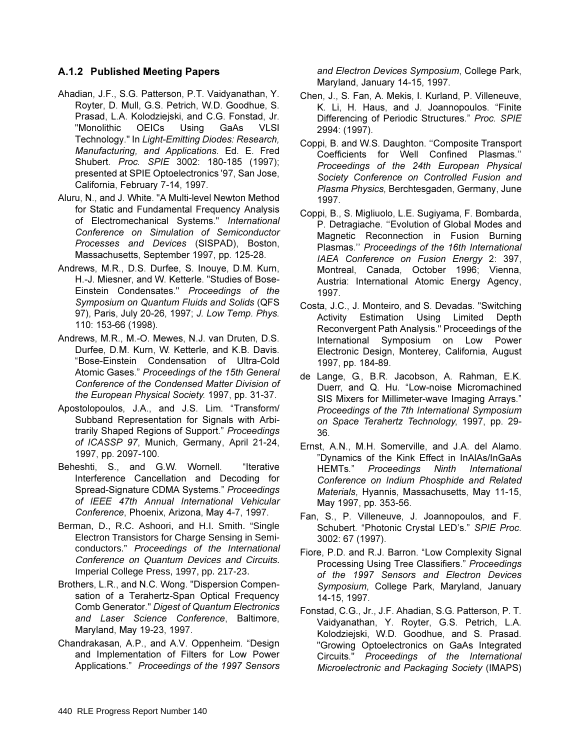#### A.1.2 Published Meeting Papers

- Ahadian, J.F., S.G. Patterson, P.T. Vaidyanathan, Y. Royter, D. Mull, G.S. Petrich, W.D. Goodhue, S. Prasad, L.A. Kolodziejski, and C.G. Fonstad, Jr. "Monolithic OEICs Usina GaAs **VLSI** Technology." In Light-Emitting Diodes: Research, Manufacturing, and Applications. Ed. E. Fred Shubert. Proc. SPIE 3002: 180-185 (1997); presented at SPIE Optoelectronics '97, San Jose, California, February 7-14, 1997.
- Aluru, N., and J. White. "A Multi-level Newton Method for Static and Fundamental Frequency Analysis of Electromechanical Systems." International Conference on Simulation of Semiconductor Processes and Devices (SISPAD), Boston, Massachusetts, September 1997, pp. 125-28.
- Andrews, M.R., D.S. Durfee, S. Inouve, D.M. Kurn, H.-J. Miesner, and W. Ketterle. "Studies of Bose-Einstein Condensates." Proceedings of the Symposium on Quantum Fluids and Solids (QFS 97), Paris, July 20-26, 1997; J. Low Temp. Phys. 110: 153-66 (1998).
- Andrews, M.R., M.-O. Mewes, N.J. van Druten, D.S. Durfee, D.M. Kurn, W. Ketterle, and K.B. Davis. "Bose-Einstein Condensation of Ultra-Cold Atomic Gases." Proceedings of the 15th General Conference of the Condensed Matter Division of the European Physical Society. 1997, pp. 31-37.
- Apostolopoulos, J.A., and J.S. Lim. "Transform/ Subband Representation for Signals with Arbitrarily Shaped Regions of Support." Proceedings of ICASSP 97, Munich, Germany, April 21-24, 1997, pp. 2097-100.
- Beheshti, S., and G.W. Wornell. "Iterative Interference Cancellation and Decoding for Spread-Signature CDMA Systems." Proceedings of IEEE 47th Annual International Vehicular Conference, Phoenix, Arizona, May 4-7, 1997.
- Berman, D., R.C. Ashoori, and H.I. Smith. "Single Electron Transistors for Charge Sensing in Semiconductors." Proceedings of the International Conference on Quantum Devices and Circuits. Imperial College Press, 1997, pp. 217-23.
- Brothers, L.R., and N.C. Wong. "Dispersion Compensation of a Terahertz-Span Optical Frequency Comb Generator." Digest of Quantum Electronics and Laser Science Conference, Baltimore, Maryland, May 19-23, 1997.
- Chandrakasan, A.P., and A.V. Oppenheim. "Design and Implementation of Filters for Low Power Applications." Proceedings of the 1997 Sensors

and Electron Devices Symposium, College Park, Maryland, January 14-15, 1997.

- Chen, J., S. Fan, A. Mekis, I. Kurland, P. Villeneuve, K. Li, H. Haus, and J. Joannopoulos. "Finite Differencing of Periodic Structures." Proc. SPIE 2994: (1997).
- Coppi, B. and W.S. Daughton. "Composite Transport Coefficients for Well Confined Plasmas." Proceedings of the 24th European Physical Society Conference on Controlled Fusion and Plasma Physics, Berchtesgaden, Germany, June 1997.
- Coppi, B., S. Migliuolo, L.E. Sugiyama, F. Bombarda, P. Detragiache. "Evolution of Global Modes and Magnetic Reconnection in Fusion Burning Plasmas." Proceedings of the 16th International IAEA Conference on Fusion Energy 2: 397, Montreal, Canada, October 1996; Vienna, Austria: International Atomic Energy Agency, 1997.
- Costa, J.C., J. Monteiro, and S. Devadas. "Switching Activity Estimation Using Limited Depth Reconvergent Path Analysis." Proceedings of the International Symposium on Low Power Electronic Design, Monterey, California, August 1997, pp. 184-89.
- de Lange, G., B.R. Jacobson, A. Rahman, E.K. Duerr, and Q. Hu. "Low-noise Micromachined SIS Mixers for Millimeter-wave Imaging Arrays." Proceedings of the 7th International Symposium on Space Terahertz Technology, 1997, pp. 29-36.
- Ernst, A.N., M.H. Somerville, and J.A. del Alamo. "Dynamics of the Kink Effect in InAlAs/InGaAs HEMTs." Proceedings Ninth International Conference on Indium Phosphide and Related Materials, Hyannis, Massachusetts, May 11-15, May 1997, pp. 353-56.
- Fan, S., P. Villeneuve, J. Joannopoulos, and F. Schubert. "Photonic Crystal LED's." SPIE Proc. 3002: 67 (1997).
- Fiore, P.D. and R.J. Barron. "Low Complexity Signal Processing Using Tree Classifiers." Proceedings of the 1997 Sensors and Electron Devices Symposium, College Park, Maryland, January 14-15, 1997.
- Fonstad, C.G., Jr., J.F. Ahadian, S.G. Patterson, P.T. Vaidyanathan, Y. Royter, G.S. Petrich, L.A. Kolodziejski, W.D. Goodhue, and S. Prasad. "Growing Optoelectronics on GaAs Integrated Circuits." Proceedings of the International Microelectronic and Packaging Society (IMAPS)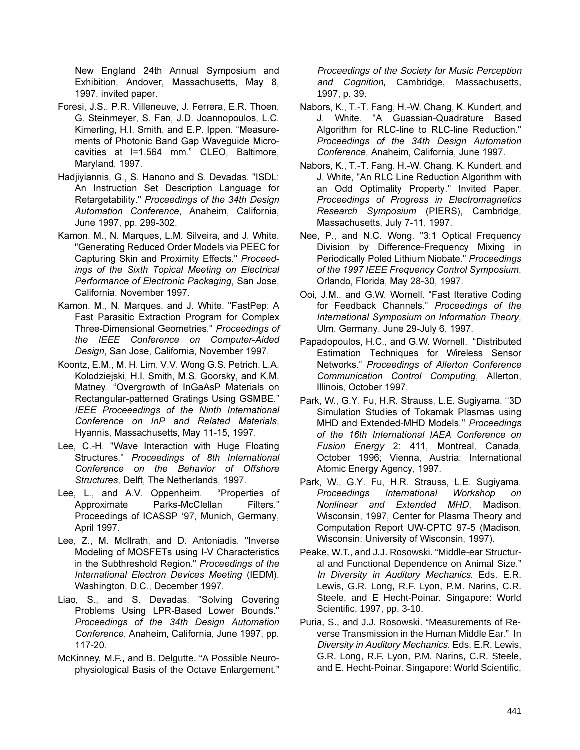New England 24th Annual Symposium and Exhibition, Andover, Massachusetts, May 8, 1997, invited paper.

- Foresi, J.S., P.R. Villeneuve, J. Ferrera, E.R. Thoen, G. Steinmeyer, S. Fan, J.D. Joannopoulos, L.C. Kimerling, H.I. Smith, and E.P. Ippen. "Measurements of Photonic Band Gap Waveguide Microcavities at l=1.564 mm." CLEO, Baltimore, Maryland, 1997.
- Hadiiviannis, G., S. Hanono and S. Devadas. "ISDL: An Instruction Set Description Language for Retargetability." Proceedings of the 34th Design Automation Conference, Anaheim, California, June 1997, pp. 299-302.
- Kamon, M., N. Marques, L.M. Silveira, and J. White. "Generating Reduced Order Models via PEEC for Capturing Skin and Proximity Effects." Proceedings of the Sixth Topical Meeting on Electrical Performance of Electronic Packaging, San Jose, California, November 1997.
- Kamon, M., N. Marques, and J. White. "FastPep: A Fast Parasitic Extraction Program for Complex Three-Dimensional Geometries." Proceedings of the IEEE Conference on Computer-Aided Design, San Jose, California, November 1997.
- Koontz, E.M., M. H. Lim, V.V. Wong G.S. Petrich, L.A. Kolodziejski, H.I. Smith, M.S. Goorsky, and K.M. Matney. "Overgrowth of InGaAsP Materials on Rectangular-patterned Gratings Using GSMBE." **IEEE** Proceeedings of the Ninth International Conference on InP and Related Materials, Hyannis, Massachusetts, May 11-15, 1997.
- Lee, C.-H. "Wave Interaction with Huge Floating Structures." Proceedings of 8th International Conference on the Behavior of Offshore Structures, Delft, The Netherlands, 1997.
- Lee, L., and A.V. Oppenheim. "Properties of Approximate Parks-McClellan Filters." Proceedings of ICASSP '97, Munich, Germany, April 1997.
- Lee, Z., M. McIlrath, and D. Antoniadis. "Inverse Modeling of MOSFETs using I-V Characteristics in the Subthreshold Region." Proceedings of the International Electron Devices Meeting (IEDM), Washington, D.C., December 1997.
- Liao, S., and S. Devadas. "Solving Covering Problems Using LPR-Based Lower Bounds." Proceedings of the 34th Design Automation Conference, Anaheim, California, June 1997, pp. 117-20.
- McKinney, M.F., and B. Delgutte. "A Possible Neurophysiological Basis of the Octave Enlargement."

Proceedings of the Society for Music Perception and Cognition, Cambridge, Massachusetts, 1997, p. 39.

- Nabors, K., T.-T. Fang, H.-W. Chang, K. Kundert, and J. White. "A Guassian-Quadrature Based Algorithm for RLC-line to RLC-line Reduction." Proceedings of the 34th Design Automation Conference, Anaheim, California, June 1997.
- Nabors, K., T.-T. Fang, H.-W. Chang, K. Kundert, and J. White, "An RLC Line Reduction Algorithm with an Odd Optimality Property." Invited Paper, Proceedings of Progress in Electromagnetics Research Symposium (PIERS), Cambridge, Massachusetts, July 7-11, 1997.
- Nee, P., and N.C. Wong. "3:1 Optical Frequency Division by Difference-Frequency Mixing in Periodically Poled Lithium Niobate." Proceedings of the 1997 IEEE Frequency Control Symposium, Orlando, Florida, May 28-30, 1997.
- Ooi, J.M., and G.W. Wornell. "Fast Iterative Coding for Feedback Channels." Proceedings of the International Symposium on Information Theory, Ulm, Germany, June 29-July 6, 1997.
- Papadopoulos, H.C., and G.W. Wornell. "Distributed Estimation Techniques for Wireless Sensor Networks." Proceedings of Allerton Conference Communication Control Computing, Allerton, Illinois. October 1997.
- Park, W., G.Y. Fu, H.R. Strauss, L.E. Sugiyama. "3D Simulation Studies of Tokamak Plasmas using MHD and Extended-MHD Models." Proceedings of the 16th International IAEA Conference on Fusion Energy 2: 411, Montreal, Canada, October 1996; Vienna, Austria: International Atomic Energy Agency, 1997.
- Park, W., G.Y. Fu, H.R. Strauss, L.E. Sugiyama. Proceedings International Workshop on Nonlinear and Extended MHD, Madison, Wisconsin, 1997, Center for Plasma Theory and Computation Report UW-CPTC 97-5 (Madison, Wisconsin: University of Wisconsin, 1997).
- Peake, W.T., and J.J. Rosowski. "Middle-ear Structural and Functional Dependence on Animal Size." In Diversity in Auditory Mechanics. Eds. E.R. Lewis, G.R. Long, R.F. Lyon, P.M. Narins, C.R. Steele, and E Hecht-Poinar. Singapore: World Scientific, 1997, pp. 3-10.
- Puria, S., and J.J. Rosowski, "Measurements of Reverse Transmission in the Human Middle Ear." In Diversity in Auditory Mechanics. Eds. E.R. Lewis, G.R. Long, R.F. Lyon, P.M. Narins, C.R. Steele, and E. Hecht-Poinar. Singapore: World Scientific,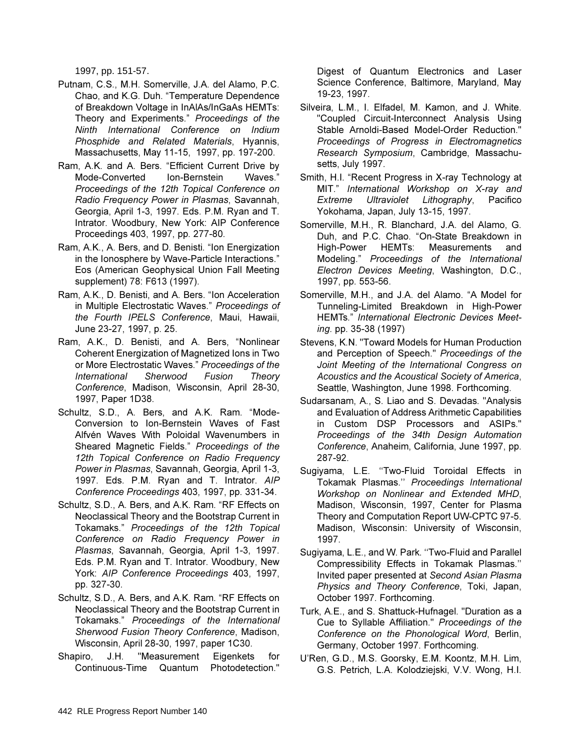1997, pp. 151-57.

- Putnam, C.S., M.H. Somerville, J.A. del Alamo, P.C. Chao, and K.G. Duh. "Temperature Dependence of Breakdown Voltage in InAlAs/InGaAs HEMTs: Theory and Experiments." Proceedings of the Ninth International Conference on Indium Phosphide and Related Materials, Hyannis, Massachusetts, May 11-15, 1997, pp. 197-200.
- Ram, A.K. and A. Bers. "Efficient Current Drive by Mode-Converted Ion-Bernstein Waves." Proceedings of the 12th Topical Conference on Radio Freguency Power in Plasmas, Savannah, Georgia, April 1-3, 1997. Eds. P.M. Ryan and T. Intrator. Woodbury, New York: AIP Conference Proceedings 403, 1997, pp. 277-80.
- Ram, A.K., A. Bers, and D. Benisti. "Ion Energization in the Ionosphere by Wave-Particle Interactions." Eos (American Geophysical Union Fall Meeting supplement) 78: F613 (1997).
- Ram, A.K., D. Benisti, and A. Bers. "Ion Acceleration in Multiple Electrostatic Waves." Proceedings of the Fourth IPELS Conference, Maui, Hawaii, June 23-27, 1997, p. 25.
- Ram, A.K., D. Benisti, and A. Bers, "Nonlinear Coherent Energization of Magnetized Ions in Two or More Electrostatic Waves." Proceedings of the International Sherwood Fusion Theory Conference, Madison, Wisconsin, April 28-30, 1997, Paper 1D38.
- Schultz, S.D., A. Bers, and A.K. Ram. "Mode-Conversion to Ion-Bernstein Waves of Fast Alfvén Waves With Poloidal Wavenumbers in Sheared Magnetic Fields." Proceedings of the 12th Topical Conference on Radio Frequency Power in Plasmas, Savannah, Georgia, April 1-3, 1997. Eds. P.M. Ryan and T. Intrator. AIP Conference Proceedings 403, 1997, pp. 331-34.
- Schultz, S.D., A. Bers, and A.K. Ram. "RF Effects on Neoclassical Theory and the Bootstrap Current in Tokamaks." Proceedings of the 12th Topical Conference on Radio Frequency Power in Plasmas, Savannah, Georgia, April 1-3, 1997. Eds. P.M. Ryan and T. Intrator. Woodbury, New York: AIP Conference Proceedings 403, 1997, pp. 327-30.
- Schultz, S.D., A. Bers, and A.K. Ram. "RF Effects on Neoclassical Theory and the Bootstrap Current in Tokamaks." Proceedings of the International Sherwood Fusion Theory Conference, Madison, Wisconsin, April 28-30, 1997, paper 1C30.
- Shapiro.  $J.H.$ "Measurement Eigenkets for Continuous-Time Quantum Photodetection."

Digest of Quantum Electronics and Laser Science Conference, Baltimore, Maryland, May 19-23, 1997.

- Silveira, L.M., I. Elfadel, M. Kamon, and J. White. "Coupled Circuit-Interconnect Analysis Using Stable Arnoldi-Based Model-Order Reduction." Proceedings of Progress in Electromagnetics Research Symposium, Cambridge, Massachusetts, July 1997.
- Smith, H.I. "Recent Progress in X-ray Technology at MIT." International Workshop on X-ray and Extreme Ultraviolet Lithography, Pacifico Yokohama, Japan, July 13-15, 1997.
- Somerville, M.H., R. Blanchard, J.A. del Alamo, G. Duh, and P.C. Chao. "On-State Breakdown in High-Power HEMTs: Measurements and Modeling." Proceedings of the International Electron Devices Meeting, Washington, D.C., 1997, pp. 553-56.
- Somerville, M.H., and J.A. del Alamo. "A Model for Tunneling-Limited Breakdown in High-Power HEMTs." International Electronic Devices Meeting. pp. 35-38 (1997)
- Stevens, K.N. "Toward Models for Human Production and Perception of Speech." Proceedings of the Joint Meeting of the International Congress on Acoustics and the Acoustical Society of America, Seattle, Washington, June 1998. Forthcoming.
- Sudarsanam, A., S. Liao and S. Devadas. "Analysis and Evaluation of Address Arithmetic Capabilities in Custom DSP Processors and ASIPs." Proceedings of the 34th Design Automation Conference, Anaheim, California, June 1997, pp. 287-92.
- Sugiyama, L.E. "Two-Fluid Toroidal Effects in Tokamak Plasmas." Proceedings International Workshop on Nonlinear and Extended MHD, Madison, Wisconsin, 1997, Center for Plasma Theory and Computation Report UW-CPTC 97-5. Madison, Wisconsin: University of Wisconsin, 1997.
- Sugiyama, L.E., and W. Park. "Two-Fluid and Parallel Compressibility Effects in Tokamak Plasmas." Invited paper presented at Second Asian Plasma Physics and Theory Conference, Toki, Japan, October 1997. Forthcoming.
- Turk, A.E., and S. Shattuck-Hufnagel. "Duration as a Cue to Syllable Affiliation." Proceedings of the Conference on the Phonological Word, Berlin, Germany, October 1997. Forthcoming.
- U'Ren, G.D., M.S. Goorsky, E.M. Koontz, M.H. Lim, G.S. Petrich, L.A. Kolodziejski, V.V. Wong, H.I.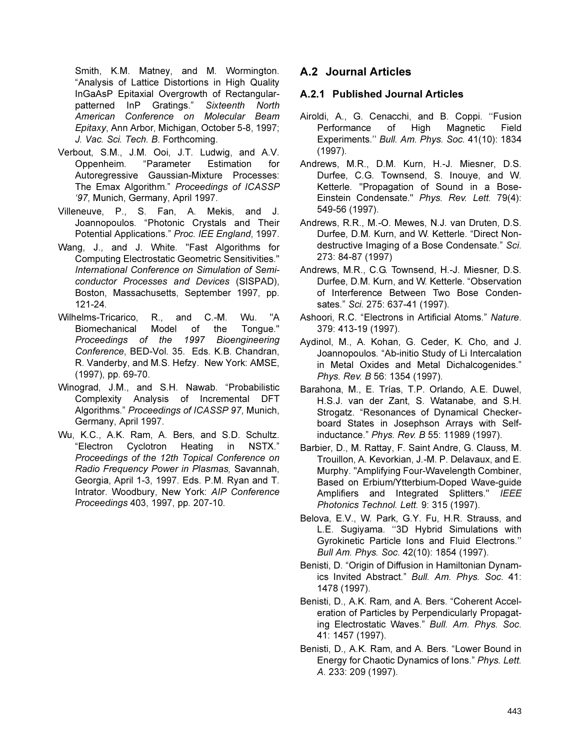Smith, K.M. Matney, and M. Wormington. "Analysis of Lattice Distortions in High Quality InGaAsP Epitaxial Overgrowth of Rectangularpatterned InP Gratings." Sixteenth North American Conference on Molecular Beam Epitaxy, Ann Arbor, Michigan, October 5-8, 1997; J. Vac. Sci. Tech. B. Forthcoming.

- Verbout, S.M., J.M. Ooi, J.T. Ludwig, and A.V. "Parameter Estimation Oppenheim. for Autoregressive Gaussian-Mixture Processes: The Emax Algorithm." Proceedings of ICASSP '97, Munich, Germany, April 1997.
- Villeneuve, P., S. Fan, A. Mekis, and J. Joannopoulos. "Photonic Crystals and Their Potential Applications." Proc. IEE England, 1997.
- Wang. J., and J. White. "Fast Algorithms for Computing Electrostatic Geometric Sensitivities." International Conference on Simulation of Semiconductor Processes and Devices (SISPAD), Boston, Massachusetts, September 1997, pp.  $121 - 24$ .
- Wilhelms-Tricarico, R., and C.-M. Wu. "A of Biomechanical Model the Tongue." Proceedings of the 1997 Bioengineering Conference, BED-Vol. 35. Eds. K.B. Chandran, R. Vanderby, and M.S. Hefzy. New York: AMSE, (1997), pp. 69-70.
- Winograd, J.M., and S.H. Nawab. "Probabilistic Complexity Analysis of Incremental DFT Algorithms." Proceedings of ICASSP 97, Munich, Germany, April 1997.
- Wu, K.C., A.K. Ram, A. Bers, and S.D. Schultz. "Electron Cyclotron Heating in NSTX." Proceedings of the 12th Topical Conference on Radio Frequency Power in Plasmas, Savannah, Georgia, April 1-3, 1997. Eds. P.M. Ryan and T. Intrator. Woodbury, New York: AIP Conference Proceedings 403, 1997, pp. 207-10.

# A.2 Journal Articles

#### A.2.1 Published Journal Articles

- Airoldi, A., G. Cenacchi, and B. Coppi. "Fusion Performance  $of$ Hiah Magnetic Field Experiments." Bull. Am. Phys. Soc. 41(10): 1834  $(1997).$
- Andrews, M.R., D.M. Kurn, H.-J. Miesner, D.S. Durfee, C.G. Townsend, S. Inouye, and W. Ketterle. "Propagation of Sound in a Bose-Einstein Condensate." Phys. Rev. Lett. 79(4): 549-56 (1997).
- Andrews, R.R., M.-O. Mewes, N.J. van Druten, D.S. Durfee, D.M. Kurn, and W. Ketterle. "Direct Nondestructive Imaging of a Bose Condensate." Sci. 273: 84-87 (1997)
- Andrews, M.R., C.G. Townsend, H.-J. Miesner, D.S. Durfee, D.M. Kurn, and W. Ketterle. "Observation of Interference Between Two Bose Condensates." Sci. 275: 637-41 (1997).
- Ashoori, R.C. "Electrons in Artificial Atoms." Nature. 379: 413-19 (1997).
- Aydinol, M., A. Kohan, G. Ceder, K. Cho, and J. Joannopoulos. "Ab-initio Study of Li Intercalation in Metal Oxides and Metal Dichalcogenides." Phys. Rev. B 56: 1354 (1997).
- Barahona, M., E. Trías, T.P. Orlando, A.E. Duwel, H.S.J. van der Zant, S. Watanabe, and S.H. Strogatz. "Resonances of Dynamical Checkerboard States in Josephson Arrays with Selfinductance." Phys. Rev. B 55: 11989 (1997).
- Barbier, D., M. Rattay, F. Saint Andre, G. Clauss, M. Trouillon, A. Kevorkian, J.-M. P. Delavaux, and E. Murphy. "Amplifying Four-Wavelength Combiner, Based on Erbium/Ytterbium-Doped Wave-quide Amplifiers and Integrated Splitters." IEEE Photonics Technol. Lett. 9: 315 (1997).
- Belova, E.V., W. Park, G.Y. Fu, H.R. Strauss, and L.E. Sugiyama. "3D Hybrid Simulations with Gyrokinetic Particle Ions and Fluid Electrons." Bull Am. Phys. Soc. 42(10): 1854 (1997).
- Benisti, D. "Origin of Diffusion in Hamiltonian Dynamics Invited Abstract." Bull. Am. Phys. Soc. 41: 1478 (1997).
- Benisti, D., A.K. Ram, and A. Bers. "Coherent Acceleration of Particles by Perpendicularly Propagating Electrostatic Waves." Bull. Am. Phys. Soc. 41: 1457 (1997).
- Benisti, D., A.K. Ram, and A. Bers. "Lower Bound in Energy for Chaotic Dynamics of Ions." Phys. Lett. A. 233: 209 (1997).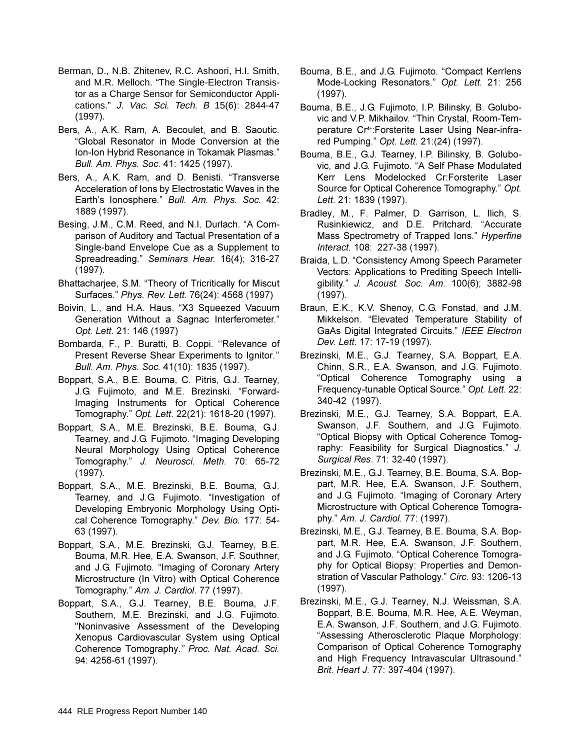- Berman, D., N.B. Zhitenev, R.C. Ashoori, H.I. Smith, and M.R. Melloch. "The Single-Electron Transistor as a Charge Sensor for Semiconductor Applications." J. Vac. Sci. Tech. B 15(6): 2844-47 (1997).
- Bers, A., A.K. Ram, A. Becoulet, and B. Saoutic. "Global Resonator in Mode Conversion at the Ion-Ion Hybrid Resonance in Tokamak Plasmas." *Bull. Am. Phys. Soc.* 41: 1425 (1997).
- Bers, A., A.K. Ram, and D. Benisti. "Transverse Acceleration of lons by Electrostatic Waves in the Earth's lonosphere." Bull. Am. Phys. Soc. 42: 1889 (1997).
- Besing, J.M., C.M. Reed, and N.I. Durlach. "A Comparison of Auditory and Tactual Presentation of a Single-band Envelope Cue as a Supplement to Spreadreading." Seminars Hear. 16(4); 316-27  $(1997).$
- Bhattacharjee, S.M. "Theory of Tricritically for Miscut Surfaces." Phys. Rev. Lett. 76(24): 4568 (1997)
- Boivin, L., and H.A. Haus. "X3 Squeezed Vacuum Generation Without a Sagnac Interferometer." Opt. Lett. 21: 146 (1997)
- Bombarda, F., P. Buratti, B. Coppi. "Relevance of Present Reverse Shear Experiments to Ignitor." *Bull. Am. Phys. Soc.* 41(10): 1835 (1997).
- Boppart, S.A., B.E. Bouma, C. Pitris, G.J. Tearney, J.G. Fujimoto, and M.E. Brezinski. "Forward-Imaging Instruments for Optical Coherence Tomography." Opt. Lett. 22(21): 1618-20 (1997).
- Boppart, S.A., M.E. Brezinski, B.E. Bouma, G.J. Tearney, and J.G. Fujimoto. "Imaging Developing Neural Morphology Using Optical Coherence Tomography." J. Neurosci. Meth. 70: 65-72  $(1997)$ .
- Boppart, S.A., M.E. Brezinski, B.E. Bouma, G.J. Tearney, and J.G. Fujimoto. "Investigation of Developing Embryonic Morphology Using Optical Coherence Tomography." Dev. Bio. 177: 54-63 (1997).
- Boppart, S.A., M.E. Brezinski, G.J. Tearney, B.E. Bouma, M.R. Hee, E.A. Swanson, J.F. Southner, and J.G. Fujimoto. "Imaging of Coronary Artery Microstructure (In Vitro) with Optical Coherence Tomography." Am. J. Cardiol. 77 (1997).
- Boppart, S.A., G.J. Tearney, B.E. Bouma, J.F. Southern, M.E. Brezinski, and J.G. Fujimoto. "Noninvasive Assessment of the Developing Xenopus Cardiovascular System using Optical Coherence Tomography." Proc. Nat. Acad. Sci. 94: 4256-61 (1997).
- Bouma, B.E., and J.G. Fujimoto. "Compact Kerrlens Mode-Locking Resonators." Opt. Lett. 21: 256  $(1997).$
- Bouma, B.E., J.G. Fujimoto, I.P. Bilinsky, B. Golubovic and V.P. Mikhailov. "Thin Crystal, Room-Temperature Cr<sup>4+</sup>: Forsterite Laser Using Near-infrared Pumping." Opt. Lett. 21:(24) (1997).
- Bouma, B.E., G.J. Tearney, I.P. Bilinsky, B. Golubovic, and J.G. Fujimoto. "A Self Phase Modulated Kerr Lens Modelocked Cr:Forsterite Laser Source for Optical Coherence Tomography." Opt. Lett. 21: 1839 (1997).
- Bradley, M., F. Palmer, D. Garrison, L. Ilich, S. Rusinkiewicz, and D.E. Pritchard. "Accurate Mass Spectrometry of Trapped lons." Hyperfine *Interact.* 108: 227-38 (1997).
- Braida, L.D. "Consistency Among Speech Parameter Vectors: Applications to Prediting Speech Intelligibility." J. Acoust. Soc. Am. 100(6); 3882-98  $(1997)$ .
- Braun, E.K., K.V. Shenoy, C.G. Fonstad, and J.M. Mikkelson. "Elevated Temperature Stability of GaAs Digital Integrated Circuits." IEEE Electron *Dev. Lett.* 17: 17-19 (1997).
- Brezinski, M.E., G.J. Tearney, S.A. Boppart, E.A. Chinn, S.R., E.A. Swanson, and J.G. Fujimoto. "Optical Coherence Tomography using a Frequency-tunable Optical Source." Opt. Lett. 22: 340-42 (1997).
- Brezinski, M.E., G.J. Tearney, S.A. Boppart, E.A. Swanson, J.F. Southern, and J.G. Fujimoto. "Optical Biopsy with Optical Coherence Tomography: Feasibility for Surgical Diagnostics." J. *Surgical Res.* 71: 32-40 (1997).
- Brezinski, M.E., G.J. Tearney, B.E. Bouma, S.A. Boppart, M.R. Hee, E.A. Swanson, J.F. Southern, and J.G. Fujimoto. "Imaging of Coronary Artery Microstructure with Optical Coherence Tomography." Am. J. Cardiol. 77: (1997).
- Brezinski, M.E., G.J. Tearney, B.E. Bouma, S.A. Boppart, M.R. Hee, E.A. Swanson, J.F. Southern, and J.G. Fujimoto. "Optical Coherence Tomography for Optical Biopsy: Properties and Demonstration of Vascular Pathology." Circ. 93: 1206-13  $(1997)$ .
- Brezinski, M.E., G.J. Tearney, N.J. Weissman, S.A. Boppart, B.E. Bouma, M.R. Hee, A.E. Weyman, E.A. Swanson, J.F. Southern, and J.G. Fujimoto. "Assessing Atherosclerotic Plaque Morphology: Comparison of Optical Coherence Tomography and High Frequency Intravascular Ultrasound." *Brit. Heart J. 77: 397-404 (1997).*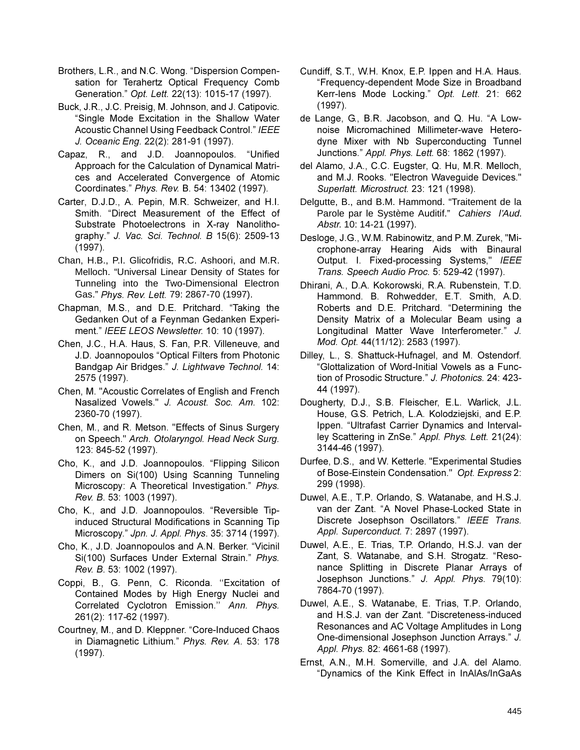- Brothers, L.R., and N.C. Wong. "Dispersion Compensation for Terahertz Optical Frequency Comb Generation." Opt. Lett. 22(13): 1015-17 (1997).
- Buck, J.R., J.C. Preisig, M. Johnson, and J. Catipovic. "Single Mode Excitation in the Shallow Water Acoustic Channel Using Feedback Control." IEEE J. Oceanic Eng. 22(2): 281-91 (1997).
- Capaz, R., and J.D. Joannopoulos. "Unified Approach for the Calculation of Dynamical Matrices and Accelerated Convergence of Atomic Coordinates." Phys. Rev. B. 54: 13402 (1997).
- Carter, D.J.D., A. Pepin, M.R. Schweizer, and H.I. Smith. "Direct Measurement of the Effect of Substrate Photoelectrons in X-ray Nanolithography." J. Vac. Sci. Technol. B 15(6): 2509-13  $(1997)$ .
- Chan, H.B., P.I. Glicofridis, R.C. Ashoori, and M.R. Melloch. "Universal Linear Density of States for Tunneling into the Two-Dimensional Electron Gas." Phys. Rev. Lett. 79: 2867-70 (1997).
- Chapman, M.S., and D.E. Pritchard. "Taking the Gedanken Out of a Feynman Gedanken Experiment." IEEE LEOS Newsletter. 10: 10 (1997).
- Chen, J.C., H.A. Haus, S. Fan, P.R. Villeneuve, and J.D. Joannopoulos "Optical Filters from Photonic Bandgap Air Bridges." J. Lightwave Technol. 14: 2575 (1997).
- Chen, M. "Acoustic Correlates of English and French Nasalized Vowels." J. Acoust. Soc. Am. 102: 2360-70 (1997).
- Chen, M., and R. Metson. "Effects of Sinus Surgery on Speech." Arch. Otolaryngol. Head Neck Surg. 123: 845-52 (1997).
- Cho, K., and J.D. Joannopoulos. "Flipping Silicon Dimers on Si(100) Using Scanning Tunneling Microscopy: A Theoretical Investigation." Phys. Rev. B. 53: 1003 (1997).
- Cho, K., and J.D. Joannopoulos. "Reversible Tipinduced Structural Modifications in Scanning Tip Microscopy." Jpn. J. Appl. Phys. 35: 3714 (1997).
- Cho, K., J.D. Joannopoulos and A.N. Berker. "Vicinil Si(100) Surfaces Under External Strain." Phys. Rev. B. 53: 1002 (1997).
- Coppi, B., G. Penn, C. Riconda. "Excitation of Contained Modes by High Energy Nuclei and Correlated Cyclotron Emission." Ann. Phys. 261(2): 117-62 (1997).
- Courtney, M., and D. Kleppner. "Core-Induced Chaos in Diamagnetic Lithium." Phys. Rev. A. 53: 178  $(1997)$ .
- Cundiff, S.T., W.H. Knox, E.P. Ippen and H.A. Haus. "Frequency-dependent Mode Size in Broadband Kerr-lens Mode Locking." Opt. Lett. 21: 662  $(1997).$
- de Lange, G., B.R. Jacobson, and Q. Hu. "A Lownoise Micromachined Millimeter-wave Heterodyne Mixer with Nb Superconducting Tunnel Junctions." Appl. Phys. Lett. 68: 1862 (1997).
- del Alamo, J.A., C.C. Eugster, Q. Hu, M.R. Melloch, and M.J. Rooks. "Electron Wavequide Devices." Superlatt. Microstruct. 23: 121 (1998).
- Delgutte, B., and B.M. Hammond. "Traitement de la Parole par le Système Auditif." Cahiers l'Aud. Abstr. 10: 14-21 (1997).
- Desloge, J.G., W.M. Rabinowitz, and P.M. Zurek, "Microphone-array Hearing Aids with Binaural Output. I. Fixed-processing Systems," IEEE Trans. Speech Audio Proc. 5: 529-42 (1997).
- Dhirani, A., D.A. Kokorowski, R.A. Rubenstein, T.D. Hammond. B. Rohwedder, E.T. Smith, A.D. Roberts and D.E. Pritchard. "Determining the Density Matrix of a Molecular Beam using a Longitudinal Matter Wave Interferometer." J. Mod. Opt. 44(11/12): 2583 (1997).
- Dilley, L., S. Shattuck-Hufnagel, and M. Ostendorf. "Glottalization of Word-Initial Vowels as a Function of Prosodic Structure." J. Photonics. 24: 423-44 (1997).
- Dougherty, D.J., S.B. Fleischer, E.L. Warlick, J.L. House, G.S. Petrich, L.A. Kolodziejski, and E.P. Ippen. "Ultrafast Carrier Dynamics and Intervalley Scattering in ZnSe." Appl. Phys. Lett. 21(24): 3144-46 (1997).
- Durfee, D.S., and W. Ketterle. "Experimental Studies of Bose-Einstein Condensation." Opt. Express 2: 299 (1998).
- Duwel, A.E., T.P. Orlando, S. Watanabe, and H.S.J. van der Zant. "A Novel Phase-Locked State in Discrete Josephson Oscillators." IEEE Trans. Appl. Superconduct. 7: 2897 (1997).
- Duwel, A.E., E. Trias, T.P. Orlando, H.S.J. van der Zant, S. Watanabe, and S.H. Strogatz. "Resonance Splitting in Discrete Planar Arrays of Josephson Junctions." J. Appl. Phys. 79(10): 7864-70 (1997).
- Duwel, A.E., S. Watanabe, E. Trias, T.P. Orlando, and H.S.J. van der Zant. "Discreteness-induced Resonances and AC Voltage Amplitudes in Long One-dimensional Josephson Junction Arrays." J. Appl. Phys. 82: 4661-68 (1997).
- Ernst, A.N., M.H. Somerville, and J.A. del Alamo. "Dynamics of the Kink Effect in InAlAs/InGaAs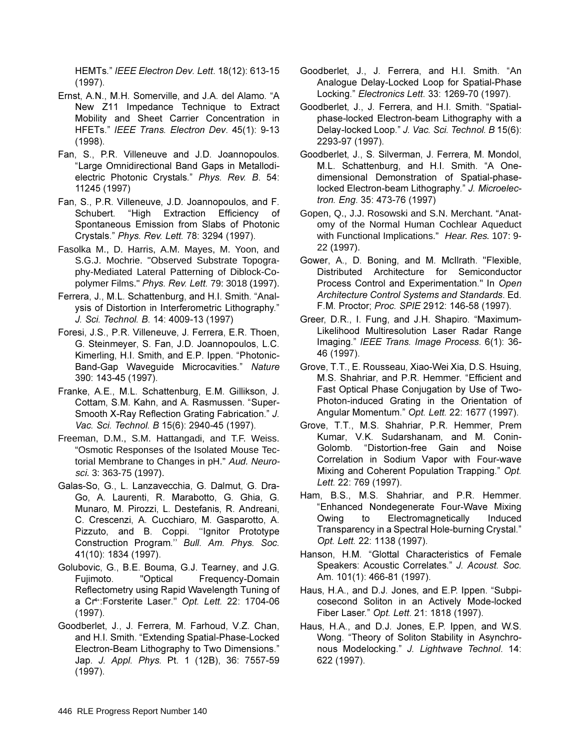HEMTs." IEEE Electron Dev. Lett. 18(12): 613-15  $(1997)$ .

- Ernst, A.N., M.H. Somerville, and J.A. del Alamo. "A New Z11 Impedance Technique to Extract Mobility and Sheet Carrier Concentration in HFETs." IEEE Trans. Electron Dev. 45(1): 9-13  $(1998).$
- Fan, S., P.R. Villeneuve and J.D. Joannopoulos. "Large Omnidirectional Band Gaps in Metallodielectric Photonic Crystals." Phys. Rev. B. 54: 11245 (1997)
- Fan, S., P.R. Villeneuve, J.D. Joannopoulos, and F. Schubert. "High Extraction Efficiency of Spontaneous Emission from Slabs of Photonic Crystals." Phys. Rev. Lett. 78: 3294 (1997).
- Fasolka M., D. Harris, A.M. Mayes, M. Yoon, and S.G.J. Mochrie. "Observed Substrate Topography-Mediated Lateral Patterning of Diblock-Copolymer Films." *Phys. Rev. Lett.* 79: 3018 (1997).
- Ferrera, J., M.L. Schattenburg, and H.I. Smith. "Analvsis of Distortion in Interferometric Lithography." J. Sci. Technol. B. 14: 4009-13 (1997)
- Foresi, J.S., P.R. Villeneuve, J. Ferrera, E.R. Thoen, G. Steinmeyer, S. Fan, J.D. Joannopoulos. L.C. Kimerling, H.I. Smith, and E.P. Ippen. "Photonic-Band-Gap Waveguide Microcavities." Nature 390: 143-45 (1997).
- Franke, A.E., M.L. Schattenburg, E.M. Gillikson, J. Cottam, S.M. Kahn, and A. Rasmussen. "Super-Smooth X-Ray Reflection Grating Fabrication." J. Vac. Sci. Technol. B 15(6): 2940-45 (1997).
- Freeman, D.M., S.M. Hattangadi, and T.F. Weiss. "Osmotic Responses of the Isolated Mouse Tectorial Membrane to Changes in pH." Aud. Neurosci. 3: 363-75 (1997).
- Galas-So, G., L. Lanzavecchia, G. Dalmut, G. Dra-Go, A. Laurenti, R. Marabotto, G. Ghia, G. Munaro, M. Pirozzi, L. Destefanis, R. Andreani, C. Crescenzi, A. Cucchiaro, M. Gasparotto, A. Pizzuto, and B. Coppi. "Ignitor Prototype Construction Program." Bull. Am. Phys. Soc. 41(10): 1834 (1997).
- Golubovic, G., B.E. Bouma, G.J. Tearney, and J.G. Fujimoto. "Optical Frequency-Domain Reflectometry using Rapid Wavelength Tuning of a Cr<sup>4+</sup>:Forsterite Laser." Opt. Lett. 22: 1704-06  $(1997)$ .
- Goodberlet, J., J. Ferrera, M. Farhoud, V.Z. Chan, and H.I. Smith. "Extending Spatial-Phase-Locked Electron-Beam Lithography to Two Dimensions." Jap. J. Appl. Phys. Pt. 1 (12B), 36: 7557-59  $(1997)$ .
- Goodberlet, J., J. Ferrera, and H.I. Smith. "An Analogue Delay-Locked Loop for Spatial-Phase Locking." Electronics Lett. 33: 1269-70 (1997).
- Goodberlet, J., J. Ferrera, and H.I. Smith. "Spatialphase-locked Electron-beam Lithography with a Delay-locked Loop." J. Vac. Sci. Technol. B 15(6): 2293-97 (1997).
- Goodberlet, J., S. Silverman, J. Ferrera, M. Mondol, M.L. Schattenburg, and H.I. Smith. "A Onedimensional Demonstration of Spatial-phaselocked Electron-beam Lithography." J. Microelec*tron. Eng.* 35: 473-76 (1997)
- Gopen, Q., J.J. Rosowski and S.N. Merchant. "Anatomy of the Normal Human Cochlear Aqueduct with Functional Implications." Hear. Res. 107: 9-22 (1997).
- Gower, A., D. Boning, and M. McIlrath. "Flexible, Distributed Architecture for Semiconductor Process Control and Experimentation." In Open *Architecture Control Systems and Standards. Ed.* F.M. Proctor; Proc. SPIE 2912: 146-58 (1997).
- Greer, D.R., I. Fung, and J.H. Shapiro. "Maximum-Likelihood Multiresolution Laser Radar Range Imaging." IEEE Trans. Image Process. 6(1): 36-46 (1997).
- Grove, T.T., E. Rousseau, Xiao-Wei Xia, D.S. Hsuing, M.S. Shahriar, and P.R. Hemmer. "Efficient and Fast Optical Phase Conjugation by Use of Two-Photon-induced Grating in the Orientation of Angular Momentum." Opt. Lett. 22: 1677 (1997).
- Grove, T.T., M.S. Shahriar, P.R. Hemmer, Prem Kumar, V.K. Sudarshanam, and M. Conin-Golomb. "Distortion-free Gain and Noise Correlation in Sodium Vapor with Four-wave Mixing and Coherent Population Trapping." Opt. *Lett.* 22: 769 (1997).
- Ham, B.S., M.S. Shahriar, and P.R. Hemmer. "Enhanced Nondegenerate Four-Wave Mixing Owing to Electromagnetically Induced Transparency in a Spectral Hole-burning Crystal." Opt. Lett. 22: 1138 (1997).
- Hanson, H.M. "Glottal Characteristics of Female Speakers: Acoustic Correlates." J. Acoust. Soc. Am. 101(1): 466-81 (1997).
- Haus, H.A., and D.J. Jones, and E.P. Ippen. "Subpicosecond Soliton in an Actively Mode-locked Fiber Laser." Opt. Lett. 21: 1818 (1997).
- Haus, H.A., and D.J. Jones, E.P. Ippen, and W.S. Wong. "Theory of Soliton Stability in Asynchronous Modelocking." J. Lightwave Technol. 14: 622 (1997).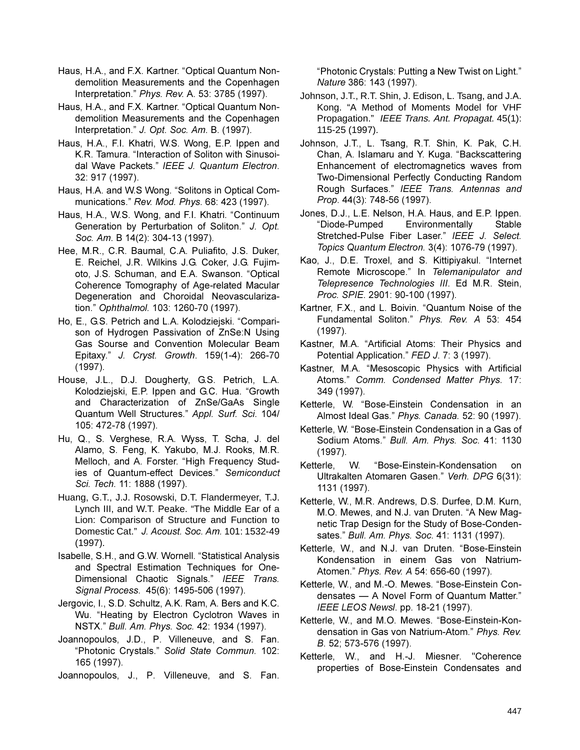Haus, H.A., and F.X. Kartner. "Optical Quantum Nondemolition Measurements and the Copenhagen Interpretation." Phys. Rev. A. 53: 3785 (1997).

Haus, H.A., and F.X. Kartner. "Optical Quantum Nondemolition Measurements and the Copenhagen Interpretation." J. Opt. Soc. Am. B. (1997).

- Haus, H.A., F.I. Khatri, W.S. Wong, E.P. Ippen and K.R. Tamura. "Interaction of Soliton with Sinusoidal Wave Packets." IEEE J. Quantum Electron. 32: 917 (1997).
- Haus, H.A. and W.S Wong. "Solitons in Optical Communications." Rev. Mod. Phys. 68: 423 (1997).
- Haus, H.A., W.S. Wong, and F.I. Khatri. "Continuum Generation by Perturbation of Soliton." J. Opt. Soc. Am. B 14(2): 304-13 (1997).
- Hee. M.R., C.R. Baumal, C.A. Puliafito, J.S. Duker, E. Reichel. J.R. Wilkins J.G. Coker. J.G. Fuiimoto, J.S. Schuman, and E.A. Swanson. "Optical Coherence Tomography of Age-related Macular Degeneration and Choroidal Neovascularization." Ophthalmol. 103: 1260-70 (1997).
- Ho, E., G.S. Petrich and L.A. Kolodziejski. "Comparison of Hydrogen Passivation of ZnSe:N Using Gas Sourse and Convention Molecular Beam Epitaxy." J. Cryst. Growth. 159(1-4): 266-70  $(1997)$ .
- House, J.L., D.J. Dougherty, G.S. Petrich, L.A. Kolodziejski, E.P. Ippen and G.C. Hua. "Growth and Characterization of ZnSe/GaAs Single Quantum Well Structures." Appl. Surf. Sci. 104/ 105: 472-78 (1997).
- Hu, Q., S. Verghese, R.A. Wyss, T. Scha, J. del Alamo, S. Feng, K. Yakubo, M.J. Rooks, M.R. Melloch, and A. Forster. "High Frequency Studies of Quantum-effect Devices." Semiconduct Sci. Tech. 11: 1888 (1997).
- Huang, G.T., J.J. Rosowski, D.T. Flandermeyer, T.J. Lynch III, and W.T. Peake. "The Middle Ear of a Lion: Comparison of Structure and Function to Domestic Cat." J. Acoust. Soc. Am. 101: 1532-49  $(1997).$
- Isabelle, S.H., and G.W. Wornell. "Statistical Analysis and Spectral Estimation Techniques for One-Dimensional Chaotic Signals." IEEE Trans. Signal Process. 45(6): 1495-506 (1997).
- Jergovic, I., S.D. Schultz, A.K. Ram, A. Bers and K.C. Wu. "Heating by Electron Cyclotron Waves in NSTX." Bull. Am. Phys. Soc. 42: 1934 (1997).
- Joannopoulos, J.D., P. Villeneuve, and S. Fan. "Photonic Crystals." Solid State Commun. 102: 165 (1997).
- Joannopoulos, J., P. Villeneuve, and S. Fan.

"Photonic Crystals: Putting a New Twist on Light." Nature 386: 143 (1997).

- Johnson, J.T., R.T. Shin, J. Edison, L. Tsang, and J.A. Kong. "A Method of Moments Model for VHF Propagation." IEEE Trans. Ant. Propagat. 45(1): 115-25 (1997).
- Johnson, J.T., L. Tsang, R.T. Shin, K. Pak, C.H. Chan, A. Islamaru and Y. Kuga. "Backscattering Enhancement of electromagnetics waves from Two-Dimensional Perfectly Conducting Random Rough Surfaces." IEEE Trans. Antennas and Prop. 44(3): 748-56 (1997).
- Jones, D.J., L.E. Nelson, H.A. Haus, and E.P. Ippen. "Diode-Pumped Environmentally Stable Stretched-Pulse Fiber Laser." IEEE J. Select. Topics Quantum Electron. 3(4): 1076-79 (1997).
- Kao, J., D.E. Troxel, and S. Kittipiyakul. "Internet Remote Microscope." In Telemanipulator and Telepresence Technologies III. Ed M.R. Stein, Proc. SPIE. 2901: 90-100 (1997).
- Kartner, F.X., and L. Boivin. "Quantum Noise of the Fundamental Soliton." Phys. Rev. A 53: 454  $(1997)$ .
- Kastner, M.A. "Artificial Atoms: Their Physics and Potential Application." FED J. 7: 3 (1997).
- Kastner, M.A. "Mesoscopic Physics with Artificial Atoms." Comm. Condensed Matter Phys. 17: 349 (1997).
- Ketterle, W. "Bose-Einstein Condensation in an Almost Ideal Gas." Phys. Canada. 52: 90 (1997).
- Ketterle, W. "Bose-Einstein Condensation in a Gas of Sodium Atoms." Bull. Am. Phys. Soc. 41: 1130  $(1997).$
- Ketterle, "Bose-Einstein-Kondensation W. **on** Ultrakalten Atomaren Gasen." Verh. DPG 6(31): 1131 (1997).
- Ketterle, W., M.R. Andrews, D.S. Durfee, D.M. Kurn, M.O. Mewes, and N.J. van Druten. "A New Magnetic Trap Design for the Study of Bose-Condensates." Bull. Am. Phys. Soc. 41: 1131 (1997).
- Ketterle, W., and N.J. van Druten. "Bose-Einstein Kondensation in einem Gas von Natrium-Atomen." Phys. Rev. A 54: 656-60 (1997).
- Ketterle, W., and M.-O. Mewes. "Bose-Einstein Condensates - A Novel Form of Quantum Matter." IEEE LEOS Newsl. pp. 18-21 (1997).
- Ketterle, W., and M.O. Mewes. "Bose-Einstein-Kondensation in Gas von Natrium-Atom." Phys. Rev. B. 52; 573-576 (1997).
- Ketterle, W., and H.-J. Miesner. "Coherence properties of Bose-Einstein Condensates and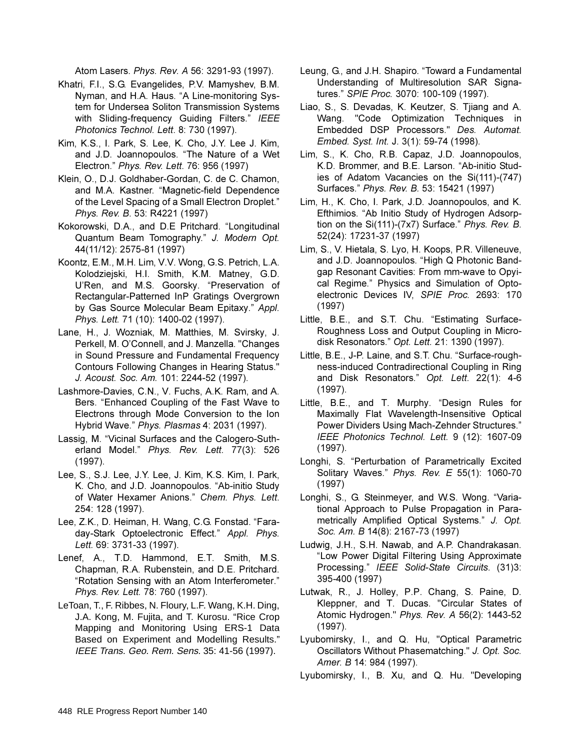Atom Lasers. Phys. Rev. A 56: 3291-93 (1997).

- Khatri, F.I., S.G. Evangelides, P.V. Mamyshev, B.M. Nyman, and H.A. Haus. "A Line-monitoring System for Undersea Soliton Transmission Systems with Sliding-frequency Guiding Filters." IEEE Photonics Technol. Lett. 8: 730 (1997).
- Kim, K.S., I. Park, S. Lee, K. Cho, J.Y. Lee J. Kim, and J.D. Joannopoulos. "The Nature of a Wet Electron." Phys. Rev. Lett. 76: 956 (1997)
- Klein, O., D.J. Goldhaber-Gordan, C. de C. Chamon, and M.A. Kastner. "Magnetic-field Dependence of the Level Spacing of a Small Electron Droplet." Phys. Rev. B. 53: R4221 (1997)
- Kokorowski, D.A., and D.E Pritchard. "Longitudinal Quantum Beam Tomography." J. Modern Opt. 44(11/12): 2575-81 (1997)
- Koontz, E.M., M.H. Lim, V.V. Wong, G.S. Petrich, L.A. Kolodziejski, H.I. Smith, K.M. Matney, G.D. U'Ren, and M.S. Goorsky. "Preservation of Rectangular-Patterned InP Gratings Overgrown by Gas Source Molecular Beam Epitaxy." Appl. Phys. Lett. 71 (10): 1400-02 (1997).
- Lane, H., J. Wozniak, M. Matthies, M. Svirsky, J. Perkell, M. O'Connell, and J. Manzella. "Changes in Sound Pressure and Fundamental Frequency Contours Following Changes in Hearing Status." J. Acoust. Soc. Am. 101: 2244-52 (1997).
- Lashmore-Davies, C.N., V. Fuchs, A.K. Ram, and A. Bers. "Enhanced Coupling of the Fast Wave to Electrons through Mode Conversion to the Ion Hybrid Wave." Phys. Plasmas 4: 2031 (1997).
- Lassig, M. "Vicinal Surfaces and the Calogero-Sutherland Model." Phys. Rev. Lett. 77(3): 526  $(1997)$ .
- Lee, S., S.J. Lee, J.Y. Lee, J. Kim, K.S. Kim, I. Park, K. Cho, and J.D. Joannopoulos. "Ab-initio Study of Water Hexamer Anions." Chem. Phys. Lett. 254: 128 (1997).
- Lee, Z.K., D. Heiman, H. Wang, C.G. Fonstad. "Faraday-Stark Optoelectronic Effect." Appl. Phys. Lett. 69: 3731-33 (1997).
- Lenef, A., T.D. Hammond, E.T. Smith, M.S. Chapman, R.A. Rubenstein, and D.E. Pritchard. "Rotation Sensing with an Atom Interferometer." Phys. Rev. Lett. 78: 760 (1997).
- LeToan, T., F. Ribbes, N. Floury, L.F. Wang, K.H. Ding, J.A. Kong, M. Fujita, and T. Kurosu. "Rice Crop Mapping and Monitoring Using ERS-1 Data Based on Experiment and Modelling Results." IEEE Trans. Geo. Rem. Sens. 35: 41-56 (1997).
- Leung, G., and J.H. Shapiro. "Toward a Fundamental Understanding of Multiresolution SAR Signatures." SPIE Proc. 3070: 100-109 (1997).
- Liao, S., S. Devadas, K. Keutzer, S. Tjiang and A. Wang. "Code Optimization Techniques in Embedded DSP Processors." Des. Automat. Embed. Syst. Int. J. 3(1): 59-74 (1998).
- Lim, S., K. Cho, R.B. Capaz, J.D. Joannopoulos, K.D. Brommer, and B.E. Larson. "Ab-initio Studies of Adatom Vacancies on the Si(111)-(747) Surfaces." Phys. Rev. B. 53: 15421 (1997)
- Lim, H., K. Cho, I. Park, J.D. Joannopoulos, and K. Efthimios. "Ab Initio Study of Hydrogen Adsorption on the Si(111)-(7x7) Surface." Phys. Rev. B. 52(24): 17231-37 (1997)
- Lim, S., V. Hietala, S. Lyo, H. Koops, P.R. Villeneuve, and J.D. Joannopoulos. "High Q Photonic Bandgap Resonant Cavities: From mm-wave to Opyical Regime." Physics and Simulation of Optoelectronic Devices IV, SPIE Proc. 2693: 170  $(1997)$
- Little, B.E., and S.T. Chu. "Estimating Surface-Roughness Loss and Output Coupling in Microdisk Resonators." Opt. Lett. 21: 1390 (1997).
- Little, B.E., J-P. Laine, and S.T. Chu. "Surface-roughness-induced Contradirectional Coupling in Ring and Disk Resonators." Opt. Lett. 22(1): 4-6  $(1997)$ .
- Little, B.E., and T. Murphy. "Design Rules for Maximally Flat Wavelength-Insensitive Optical Power Dividers Using Mach-Zehnder Structures." IEEE Photonics Technol. Lett. 9 (12): 1607-09  $(1997)$ .
- Longhi, S. "Perturbation of Parametrically Excited Solitary Waves." Phys. Rev. E 55(1): 1060-70  $(1997)$
- Longhi, S., G. Steinmeyer, and W.S. Wong. "Variational Approach to Pulse Propagation in Parametrically Amplified Optical Systems." J. Opt. Soc. Am. B 14(8): 2167-73 (1997)
- Ludwig, J.H., S.H. Nawab, and A.P. Chandrakasan. "Low Power Digital Filtering Using Approximate Processing." IEEE Solid-State Circuits. (31)3: 395-400 (1997)
- Lutwak, R., J. Holley, P.P. Chang, S. Paine, D. Kleppner, and T. Ducas. "Circular States of Atomic Hydrogen." Phys. Rev. A 56(2): 1443-52  $(1997)$ .
- Lyubomirsky, I., and Q. Hu, "Optical Parametric Oscillators Without Phasematching." J. Opt. Soc. Amer. B 14: 984 (1997).
- Lyubomirsky, I., B. Xu, and Q. Hu. "Developing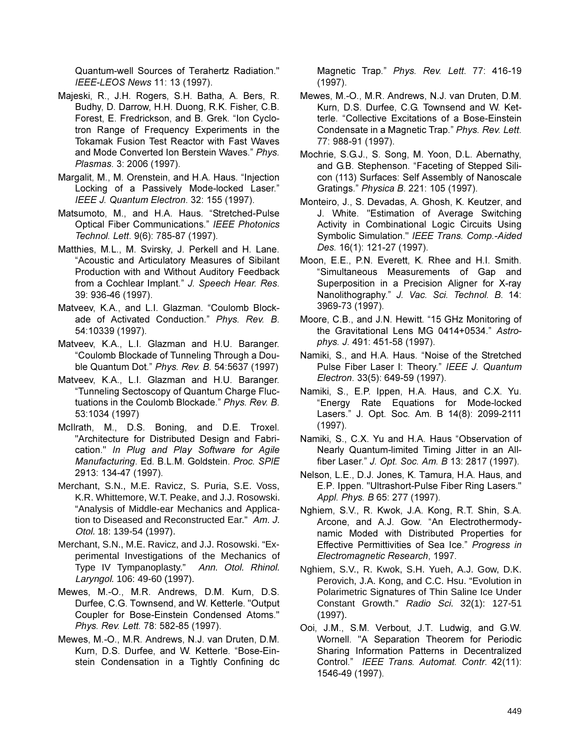Quantum-well Sources of Terahertz Radiation." IEEE-LEOS News 11: 13 (1997).

- Majeski, R., J.H. Rogers, S.H. Batha, A. Bers, R. Budhy, D. Darrow, H.H. Duong, R.K. Fisher, C.B. Forest, E. Fredrickson, and B. Grek. "Ion Cyclotron Range of Frequency Experiments in the Tokamak Fusion Test Reactor with Fast Waves and Mode Converted Ion Berstein Waves." Phys. Plasmas. 3: 2006 (1997).
- Margalit, M., M. Orenstein, and H.A. Haus. "Injection Locking of a Passively Mode-locked Laser." IEEE J. Quantum Electron. 32: 155 (1997).
- Matsumoto, M., and H.A. Haus. "Stretched-Pulse Optical Fiber Communications." IEEE Photonics Technol. Lett. 9(6): 785-87 (1997).
- Matthies, M.L., M. Svirsky, J. Perkell and H. Lane. "Acoustic and Articulatory Measures of Sibilant Production with and Without Auditory Feedback from a Cochlear Implant." J. Speech Hear. Res. 39: 936-46 (1997).
- Matveev, K.A., and L.I. Glazman. "Coulomb Blockade of Activated Conduction." Phys. Rev. B. 54:10339 (1997).
- Matveev, K.A., L.I. Glazman and H.U. Baranger. "Coulomb Blockade of Tunneling Through a Double Quantum Dot." Phys. Rev. B. 54:5637 (1997)
- Matveev, K.A., L.I. Glazman and H.U. Baranger. "Tunneling Sectoscopy of Quantum Charge Fluctuations in the Coulomb Blockade." Phys. Rev. B. 53:1034 (1997)
- McIlrath, M., D.S. Boning, and D.E. Troxel. "Architecture for Distributed Design and Fabrication." In Plug and Play Software for Agile Manufacturing. Ed. B.L.M. Goldstein. Proc. SPIE 2913: 134-47 (1997).
- Merchant, S.N., M.E. Ravicz, S. Puria, S.E. Voss, K.R. Whittemore, W.T. Peake, and J.J. Rosowski. "Analysis of Middle-ear Mechanics and Application to Diseased and Reconstructed Ear." Am. J. Otol. 18: 139-54 (1997).
- Merchant, S.N., M.E. Ravicz, and J.J. Rosowski. "Experimental Investigations of the Mechanics of Type IV Tympanoplasty." Ann. Otol. Rhinol. Laryngol. 106: 49-60 (1997).
- Mewes, M.-O., M.R. Andrews, D.M. Kurn, D.S. Durfee, C.G. Townsend, and W. Ketterle. "Output Coupler for Bose-Einstein Condensed Atoms." Phys. Rev. Lett. 78: 582-85 (1997).
- Mewes, M.-O., M.R. Andrews, N.J. van Druten, D.M. Kurn, D.S. Durfee, and W. Ketterle. "Bose-Einstein Condensation in a Tightly Confining dc

Magnetic Trap." Phys. Rev. Lett. 77: 416-19  $(1997).$ 

- Mewes, M.-O., M.R. Andrews, N.J. van Druten, D.M. Kurn, D.S. Durfee, C.G. Townsend and W. Ketterle. "Collective Excitations of a Bose-Einstein Condensate in a Magnetic Trap." Phys. Rev. Lett. 77: 988-91 (1997).
- Mochrie, S.G.J., S. Song, M. Yoon, D.L. Abernathy, and G.B. Stephenson. "Faceting of Stepped Silicon (113) Surfaces: Self Assembly of Nanoscale Gratings." Physica B. 221: 105 (1997).
- Monteiro, J., S. Devadas, A. Ghosh, K. Keutzer, and J. White. "Estimation of Average Switching Activity in Combinational Logic Circuits Using Symbolic Simulation." IEEE Trans. Comp.-Aided Des. 16(1): 121-27 (1997).
- Moon, E.E., P.N. Everett, K. Rhee and H.I. Smith. "Simultaneous Measurements of Gap and Superposition in a Precision Aligner for X-ray Nanolithography." J. Vac. Sci. Technol. B. 14: 3969-73 (1997).
- Moore, C.B., and J.N. Hewitt. "15 GHz Monitoring of the Gravitational Lens MG 0414+0534." Astrophys. J. 491: 451-58 (1997).
- Namiki, S., and H.A. Haus. "Noise of the Stretched Pulse Fiber Laser I: Theory." IEEE J. Quantum Electron. 33(5): 649-59 (1997).
- Namiki, S., E.P. Ippen, H.A. Haus, and C.X. Yu. "Energy Rate Equations for Mode-locked Lasers." J. Opt. Soc. Am. B 14(8): 2099-2111  $(1997)$ .
- Namiki, S., C.X. Yu and H.A. Haus "Observation of Nearly Quantum-limited Timing Jitter in an Allfiber Laser." J. Opt. Soc. Am. B 13: 2817 (1997).
- Nelson, L.E., D.J. Jones, K. Tamura, H.A. Haus, and E.P. Ippen. "Ultrashort-Pulse Fiber Ring Lasers." Appl. Phys. B 65: 277 (1997).
- Nghiem, S.V., R. Kwok, J.A. Kong, R.T. Shin, S.A. Arcone, and A.J. Gow. "An Electrothermodynamic Moded with Distributed Properties for Effective Permittivities of Sea Ice." Progress in Electromagnetic Research, 1997.
- Nghiem, S.V., R. Kwok, S.H. Yueh, A.J. Gow, D.K. Perovich, J.A. Kong, and C.C. Hsu. "Evolution in Polarimetric Signatures of Thin Saline Ice Under Constant Growth." Radio Sci. 32(1): 127-51  $(1997).$
- Ooi, J.M., S.M. Verbout, J.T. Ludwig, and G.W. Wornell. "A Separation Theorem for Periodic Sharing Information Patterns in Decentralized Control." IEEE Trans. Automat. Contr. 42(11): 1546-49 (1997).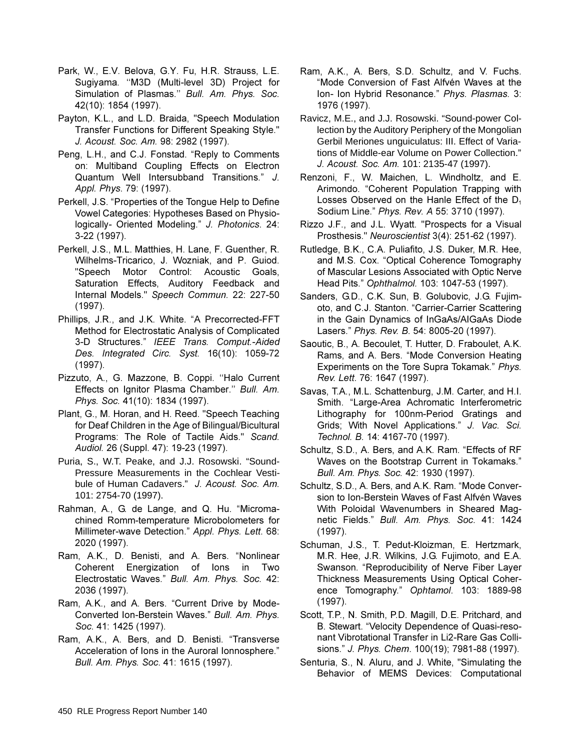- Park, W., E.V. Belova, G.Y. Fu, H.R. Strauss, L.E. Sugiyama. "M3D (Multi-level 3D) Project for Simulation of Plasmas." Bull. Am. Phys. Soc. 42(10): 1854 (1997).
- Payton, K.L., and L.D. Braida, "Speech Modulation Transfer Functions for Different Speaking Style." J. Acoust. Soc. Am. 98: 2982 (1997).
- Peng, L.H., and C.J. Fonstad. "Reply to Comments on: Multiband Coupling Effects on Electron Quantum Well Intersubband Transitions." J. Appl. Phys. 79: (1997).
- Perkell, J.S. "Properties of the Tongue Help to Define Vowel Categories: Hypotheses Based on Physiologically- Oriented Modeling." J. Photonics. 24: 3-22 (1997).
- Perkell, J.S., M.L. Matthies, H. Lane, F. Guenther, R. Wilhelms-Tricarico, J. Wozniak, and P. Guiod. "Speech Motor Control: Acoustic Goals, Saturation Effects, Auditory Feedback and Internal Models." Speech Commun. 22: 227-50  $(1997)$ .
- Phillips, J.R., and J.K. White. "A Precorrected-FFT Method for Electrostatic Analysis of Complicated 3-D Structures." IEEE Trans. Comput.-Aided Des. Integrated Circ. Syst. 16(10): 1059-72  $(1997)$ .
- Pizzuto, A., G. Mazzone, B. Coppi. "Halo Current Effects on Ignitor Plasma Chamber." Bull. Am. Phys. Soc. 41(10): 1834 (1997).
- Plant, G., M. Horan, and H. Reed. "Speech Teaching for Deaf Children in the Age of Bilingual/Bicultural Programs: The Role of Tactile Aids." Scand. Audiol. 26 (Suppl. 47): 19-23 (1997).
- Puria, S., W.T. Peake, and J.J. Rosowski. "Sound-Pressure Measurements in the Cochlear Vestibule of Human Cadavers." J. Acoust. Soc. Am. 101: 2754-70 (1997).
- Rahman, A., G. de Lange, and Q. Hu. "Micromachined Romm-temperature Microbolometers for Millimeter-wave Detection." Appl. Phys. Lett. 68: 2020 (1997).
- Ram, A.K., D. Benisti, and A. Bers. "Nonlinear Coherent Energization of lons in Two Electrostatic Waves." Bull. Am. Phys. Soc. 42: 2036 (1997).
- Ram, A.K., and A. Bers. "Current Drive by Mode-Converted Ion-Berstein Waves." Bull. Am. Phys. Soc. 41: 1425 (1997).
- Ram, A.K., A. Bers, and D. Benisti. "Transverse Acceleration of lons in the Auroral lonnosphere." Bull. Am. Phys. Soc. 41: 1615 (1997).
- Ram, A.K., A. Bers, S.D. Schultz, and V. Fuchs. "Mode Conversion of Fast Alfvén Waves at the Ion- Ion Hybrid Resonance." Phys. Plasmas. 3: 1976 (1997).
- Ravicz, M.E., and J.J. Rosowski. "Sound-power Collection by the Auditory Periphery of the Mongolian Gerbil Meriones unguiculatus: III. Effect of Variations of Middle-ear Volume on Power Collection." J. Acoust. Soc. Am. 101: 2135-47 (1997).
- Renzoni, F., W. Maichen, L. Windholtz, and E. Arimondo. "Coherent Population Trapping with Losses Observed on the Hanle Effect of the D<sub>1</sub> Sodium Line." Phys. Rev. A 55: 3710 (1997).
- Rizzo J.F., and J.L. Wyatt. "Prospects for a Visual Prosthesis." Neuroscientist 3(4): 251-62 (1997).
- Rutledge, B.K., C.A. Puliafito, J.S. Duker, M.R. Hee, and M.S. Cox. "Optical Coherence Tomography of Mascular Lesions Associated with Optic Nerve Head Pits." Ophthalmol. 103: 1047-53 (1997).
- Sanders, G.D., C.K. Sun, B. Golubovic, J.G. Fujimoto, and C.J. Stanton. "Carrier-Carrier Scattering in the Gain Dynamics of InGaAs/AIGaAs Diode Lasers." Phys. Rev. B. 54: 8005-20 (1997).
- Saoutic, B., A. Becoulet, T. Hutter, D. Fraboulet, A.K. Rams, and A. Bers. "Mode Conversion Heating Experiments on the Tore Supra Tokamak." Phys. Rev. Lett. 76: 1647 (1997).
- Savas, T.A., M.L. Schattenburg, J.M. Carter, and H.I. Smith. "Large-Area Achromatic Interferometric Lithography for 100nm-Period Gratings and Grids; With Novel Applications." J. Vac. Sci. Technol. B. 14: 4167-70 (1997).
- Schultz, S.D., A. Bers, and A.K. Ram. "Effects of RF Waves on the Bootstrap Current in Tokamaks." Bull. Am. Phys. Soc. 42: 1930 (1997).
- Schultz, S.D., A. Bers, and A.K. Ram. "Mode Conversion to Ion-Berstein Waves of Fast Alfvén Waves With Poloidal Wavenumbers in Sheared Magnetic Fields." Bull. Am. Phys. Soc. 41: 1424  $(1997)$ .
- Schuman, J.S., T. Pedut-Kloizman, E. Hertzmark, M.R. Hee, J.R. Wilkins, J.G. Fujimoto, and E.A. Swanson. "Reproducibility of Nerve Fiber Layer Thickness Measurements Using Optical Coherence Tomography." Ophtamol. 103: 1889-98  $(1997)$ .
- Scott, T.P., N. Smith, P.D. Magill, D.E. Pritchard, and B. Stewart. "Velocity Dependence of Quasi-resonant Vibrotational Transfer in Li2-Rare Gas Collisions." J. Phys. Chem. 100(19); 7981-88 (1997).
- Senturia, S., N. Aluru, and J. White, "Simulating the Behavior of MEMS Devices: Computational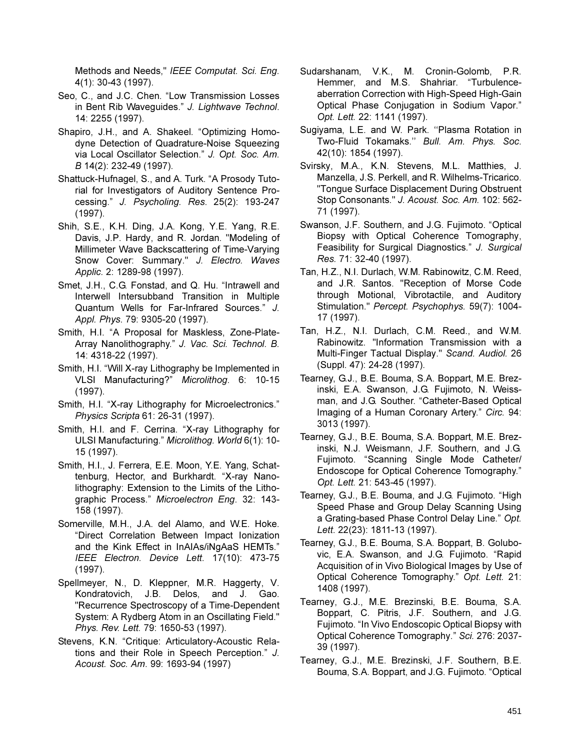Methods and Needs," IEEE Computat. Sci. Eng. 4(1): 30-43 (1997).

- Seo, C., and J.C. Chen. "Low Transmission Losses in Bent Rib Waveguides." J. Lightwave Technol. 14: 2255 (1997).
- Shapiro, J.H., and A. Shakeel. "Optimizing Homodyne Detection of Quadrature-Noise Squeezing via Local Oscillator Selection." J. Opt. Soc. Am. B 14(2): 232-49 (1997).
- Shattuck-Hufnagel, S., and A. Turk. "A Prosody Tutorial for Investigators of Auditory Sentence Processing." J. Psycholing. Res. 25(2): 193-247  $(1997).$
- Shih, S.E., K.H. Ding, J.A. Kong, Y.E. Yang, R.E. Davis, J.P. Hardy, and R. Jordan. "Modeling of Millimeter Wave Backscattering of Time-Varying Snow Cover: Summary." J. Electro. Waves Applic. 2: 1289-98 (1997).
- Smet, J.H., C.G. Fonstad, and Q. Hu. "Intrawell and Interwell Intersubband Transition in Multiple Quantum Wells for Far-Infrared Sources." J. Appl. Phys. 79: 9305-20 (1997).
- Smith, H.I. "A Proposal for Maskless, Zone-Plate-Array Nanolithography." J. Vac. Sci. Technol. B. 14: 4318-22 (1997).
- Smith, H.I. "Will X-ray Lithography be Implemented in VLSI Manufacturing?" Microlithog. 6: 10-15  $(1997)$ .
- Smith, H.I. "X-ray Lithography for Microelectronics." Physics Scripta 61: 26-31 (1997).
- Smith, H.I. and F. Cerrina. "X-ray Lithography for ULSI Manufacturing." Microlithog. World 6(1): 10-15 (1997).
- Smith, H.I., J. Ferrera, E.E. Moon, Y.E. Yang, Schattenburg, Hector, and Burkhardt. "X-ray Nanolithography: Extension to the Limits of the Lithographic Process." Microelectron Eng. 32: 143-158 (1997).
- Somerville, M.H., J.A. del Alamo, and W.E. Hoke. "Direct Correlation Between Impact Ionization and the Kink Effect in InAIAs/iNgAaS HEMTs." IEEE Electron. Device Lett. 17(10): 473-75  $(1997)$ .
- Spellmeyer, N., D. Kleppner, M.R. Haggerty, V. Kondratovich, J.B. Delos, and J. Gao. "Recurrence Spectroscopy of a Time-Dependent System: A Rydberg Atom in an Oscillating Field." Phys. Rev. Lett. 79: 1650-53 (1997).
- Stevens, K.N. "Critique: Articulatory-Acoustic Relations and their Role in Speech Perception." J. Acoust. Soc. Am. 99: 1693-94 (1997)
- Sudarshanam, V.K., M. Cronin-Golomb, P.R. Hemmer, and M.S. Shahriar. "Turbulenceaberration Correction with High-Speed High-Gain Optical Phase Conjugation in Sodium Vapor." Opt. Lett. 22: 1141 (1997).
- Sugiyama, L.E. and W. Park. "Plasma Rotation in Two-Fluid Tokamaks." Bull. Am. Phys. Soc. 42(10): 1854 (1997).
- Svirsky, M.A., K.N. Stevens, M.L. Matthies, J. Manzella, J.S. Perkell, and R. Wilhelms-Tricarico. "Tonque Surface Displacement During Obstruent Stop Consonants." J. Acoust. Soc. Am. 102: 562-71 (1997).
- Swanson, J.F. Southern, and J.G. Fujimoto. "Optical Biopsy with Optical Coherence Tomography, Feasibility for Surgical Diagnostics." J. Surgical Res. 71: 32-40 (1997).
- Tan. H.Z., N.I. Durlach. W.M. Rabinowitz. C.M. Reed. and J.R. Santos. "Reception of Morse Code through Motional, Vibrotactile, and Auditory Stimulation." Percept. Psychophys. 59(7): 1004-17 (1997).
- Tan, H.Z., N.I. Durlach, C.M. Reed., and W.M. Rabinowitz. "Information Transmission with a Multi-Finger Tactual Display." Scand. Audiol. 26 (Suppl. 47): 24-28 (1997).
- Tearney, G.J., B.E. Bouma, S.A. Boppart, M.E. Brezinski, E.A. Swanson, J.G. Fujimoto, N. Weissman, and J.G. Souther. "Catheter-Based Optical Imaging of a Human Coronary Artery." Circ. 94: 3013 (1997).
- Tearney, G.J., B.E. Bouma, S.A. Boppart, M.E. Brezinski, N.J. Weismann, J.F. Southern, and J.G. Fujimoto. "Scanning Single Mode Catheter/ Endoscope for Optical Coherence Tomography." Opt. Lett. 21: 543-45 (1997).
- Tearney, G.J., B.E. Bouma, and J.G. Fujimoto. "High Speed Phase and Group Delay Scanning Using a Grating-based Phase Control Delay Line." Opt. Lett. 22(23): 1811-13 (1997).
- Tearney, G.J., B.E. Bouma, S.A. Boppart, B. Golubovic, E.A. Swanson, and J.G. Fujimoto. "Rapid Acquisition of in Vivo Biological Images by Use of Optical Coherence Tomography." Opt. Lett. 21: 1408 (1997).
- Tearney, G.J., M.E. Brezinski, B.E. Bouma, S.A. Boppart, C. Pitris, J.F. Southern, and J.G. Fujimoto. "In Vivo Endoscopic Optical Biopsy with Optical Coherence Tomography." Sci. 276: 2037-39 (1997).
- Tearney, G.J., M.E. Brezinski, J.F. Southern, B.E. Bouma, S.A. Boppart, and J.G. Fujimoto. "Optical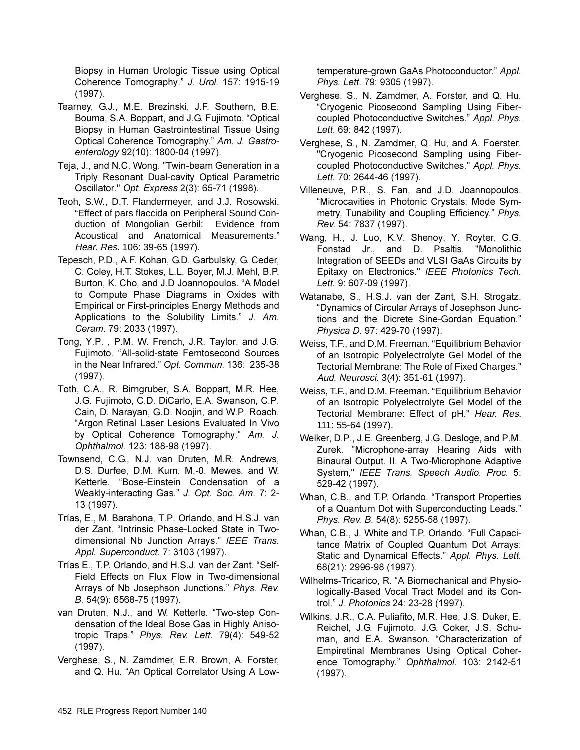Biopsy in Human Urologic Tissue using Optical Coherence Tomography." J. Urol. 157: 1915-19  $(1997).$ 

- Tearney, G.J., M.E. Brezinski, J.F. Southern, B.E. Bouma, S.A. Boppart, and J.G. Fujimoto. "Optical Biopsy in Human Gastrointestinal Tissue Using Optical Coherence Tomography." Am. J. Gastro*enterology* 92(10): 1800-04 (1997).
- Teja, J., and N.C. Wong. "Twin-beam Generation in a Triply Resonant Dual-cavity Optical Parametric Oscillator." Opt. Express 2(3): 65-71 (1998).
- Teoh, S.W., D.T. Flandermeyer, and J.J. Rosowski. "Effect of pars flaccida on Peripheral Sound Conduction of Mongolian Gerbil: Evidence from Acoustical and Anatomical Measurements." Hear. Res. 106: 39-65 (1997).
- Tepesch, P.D., A.F. Kohan, G.D. Garbulsky, G. Ceder, C. Coley, H.T. Stokes, L.L. Boyer, M.J. Mehl, B.P. Burton, K. Cho, and J.D Joannopoulos. "A Model to Compute Phase Diagrams in Oxides with Empirical or First-principles Energy Methods and Applications to the Solubility Limits." J. Am. Ceram. 79: 2033 (1997).
- Tong, Y.P., P.M. W. French, J.R. Taylor, and J.G. Fujimoto. "All-solid-state Femtosecond Sources in the Near Infrared." Opt. Commun. 136: 235-38  $(1997)$ .
- Toth, C.A., R. Birngruber, S.A. Boppart, M.R. Hee, J.G. Fujimoto, C.D. DiCarlo, E.A. Swanson, C.P. Cain, D. Narayan, G.D. Noojin, and W.P. Roach. "Argon Retinal Laser Lesions Evaluated In Vivo by Optical Coherence Tomography." Am. J. Ophthalmol. 123: 188-98 (1997).
- Townsend, C.G., N.J. van Druten, M.R. Andrews, D.S. Durfee, D.M. Kurn, M.-0. Mewes, and W. Ketterle. "Bose-Einstein Condensation of a Weakly-interacting Gas." J. Opt. Soc. Am. 7: 2-13 (1997).
- Trías, E., M. Barahona, T.P. Orlando, and H.S.J. van der Zant. "Intrinsic Phase-Locked State in Twodimensional Nb Junction Arrays." IEEE Trans. Appl. Superconduct. 7: 3103 (1997).
- Trías E., T.P. Orlando, and H.S.J. van der Zant. "Self-Field Effects on Flux Flow in Two-dimensional Arrays of Nb Josephson Junctions." Phys. Rev. *B.* 54(9): 6568-75 (1997).
- van Druten, N.J., and W. Ketterle. "Two-step Condensation of the Ideal Bose Gas in Highly Anisotropic Traps." Phys. Rev. Lett. 79(4): 549-52  $(1997)$ .
- Verghese, S., N. Zamdmer, E.R. Brown, A. Forster, and Q. Hu. "An Optical Correlator Using A Low-

temperature-grown GaAs Photoconductor." Appl. *Phys. Lett.* 79: 9305 (1997).

- Verghese, S., N. Zamdmer, A. Forster, and Q. Hu. "Cryogenic Picosecond Sampling Using Fibercoupled Photoconductive Switches." Appl. Phys. Lett. 69: 842 (1997).
- Verghese, S., N. Zamdmer, Q. Hu, and A. Foerster. "Cryogenic Picosecond Sampling using Fibercoupled Photoconductive Switches." Appl. Phys. Lett. 70: 2644-46 (1997).
- Villeneuve, P.R., S. Fan, and J.D. Joannopoulos. "Microcavities in Photonic Crystals: Mode Symmetry, Tunability and Coupling Efficiency." Phys. Rev. 54: 7837 (1997).
- Wang, H., J. Luo, K.V. Shenoy, Y. Royter, C.G. Fonstad Jr., and D. Psaltis. "Monolithic Integration of SEEDs and VLSI GaAs Circuits by Epitaxy on Electronics." IEEE Photonics Tech. Lett. 9: 607-09 (1997).
- Watanabe, S., H.S.J. van der Zant, S.H. Strogatz. "Dynamics of Circular Arrays of Josephson Junctions and the Dicrete Sine-Gordan Equation." *Physica D.* 97: 429-70 (1997).
- Weiss, T.F., and D.M. Freeman. "Equilibrium Behavior of an Isotropic Polyelectrolyte Gel Model of the Tectorial Membrane: The Role of Fixed Charges." Aud. Neurosci. 3(4): 351-61 (1997).
- Weiss, T.F., and D.M. Freeman. "Equilibrium Behavior of an Isotropic Polyelectrolyte Gel Model of the Tectorial Membrane: Effect of pH." Hear. Res. 111: 55-64 (1997).
- Welker, D.P., J.E. Greenberg, J.G. Desloge, and P.M. Zurek. "Microphone-array Hearing Aids with Binaural Output. II. A Two-Microphone Adaptive System," IEEE Trans. Speech Audio. Proc. 5: 529-42 (1997).
- Whan, C.B., and T.P. Orlando. "Transport Properties of a Quantum Dot with Superconducting Leads." Phys. Rev. B. 54(8): 5255-58 (1997).
- Whan, C.B., J. White and T.P. Orlando. "Full Capacitance Matrix of Coupled Quantum Dot Arrays: Static and Dynamical Effects." Appl. Phys. Lett. 68(21): 2996-98 (1997).
- Wilhelms-Tricarico, R. "A Biomechanical and Physiologically-Based Vocal Tract Model and its Control." J. Photonics 24: 23-28 (1997).
- Wilkins, J.R., C.A. Puliafito, M.R. Hee, J.S. Duker, E. Reichel, J.G. Fujimoto, J.G. Coker, J.S. Schuman, and E.A. Swanson. "Characterization of Empiretinal Membranes Using Optical Coherence Tomography." Ophthalmol. 103: 2142-51  $(1997)$ .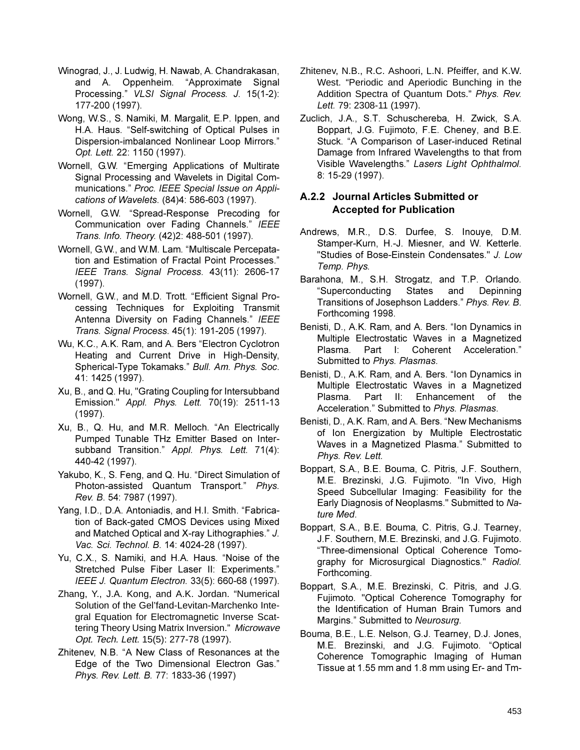- Winograd, J., J. Ludwig, H. Nawab, A. Chandrakasan, and A. Oppenheim. "Approximate Signal Processing." VLSI Signal Process. J. 15(1-2): 177-200 (1997).
- Wong, W.S., S. Namiki, M. Margalit, E.P. Ippen, and H.A. Haus. "Self-switching of Optical Pulses in Dispersion-imbalanced Nonlinear Loop Mirrors." Opt. Lett. 22: 1150 (1997).
- Wornell, G.W. "Emerging Applications of Multirate Signal Processing and Wavelets in Digital Communications." Proc. IEEE Special Issue on Applications of Wavelets. (84)4: 586-603 (1997).
- Wornell, G.W. "Spread-Response Precoding for Communication over Fading Channels." IEEE Trans. Info. Theory. (42)2: 488-501 (1997).
- Wornell, G.W., and W.M. Lam. "Multiscale Percepatation and Estimation of Fractal Point Processes." IEEE Trans. Signal Process. 43(11): 2606-17  $(1997)$ .
- Wornell, G.W., and M.D. Trott. "Efficient Signal Processing Techniques for Exploiting Transmit Antenna Diversity on Fading Channels." IEEE Trans. Signal Process. 45(1): 191-205 (1997).
- Wu, K.C., A.K. Ram, and A. Bers "Electron Cyclotron Heating and Current Drive in High-Density, Spherical-Type Tokamaks." Bull. Am. Phys. Soc. 41: 1425 (1997).
- Xu, B., and Q. Hu, "Grating Coupling for Intersubband Emission." Appl. Phys. Lett. 70(19): 2511-13  $(1997)$ .
- Xu, B., Q. Hu, and M.R. Melloch. "An Electrically Pumped Tunable THz Emitter Based on Intersubband Transition." Appl. Phys. Lett. 71(4): 440-42 (1997).
- Yakubo, K., S. Feng, and Q. Hu. "Direct Simulation of Photon-assisted Quantum Transport." Phys. Rev. B. 54: 7987 (1997).
- Yang, I.D., D.A. Antoniadis, and H.I. Smith. "Fabrication of Back-gated CMOS Devices using Mixed and Matched Optical and X-ray Lithographies." J. Vac. Sci. Technol. B. 14: 4024-28 (1997).
- Yu, C.X., S. Namiki, and H.A. Haus. "Noise of the Stretched Pulse Fiber Laser II: Experiments." IEEE J. Quantum Electron. 33(5): 660-68 (1997).
- Zhang, Y., J.A. Kong, and A.K. Jordan. "Numerical Solution of the Gel'fand-Levitan-Marchenko Integral Equation for Electromagnetic Inverse Scattering Theory Using Matrix Inversion." Microwave Opt. Tech. Lett. 15(5): 277-78 (1997).
- Zhitenev, N.B. "A New Class of Resonances at the Edge of the Two Dimensional Electron Gas." Phys. Rev. Lett. B. 77: 1833-36 (1997)
- Zhitenev, N.B., R.C. Ashoori, L.N. Pfeiffer, and K.W. West. "Periodic and Aperiodic Bunching in the Addition Spectra of Quantum Dots." Phys. Rev. Lett. 79: 2308-11 (1997).
- Zuclich, J.A., S.T. Schuschereba, H. Zwick, S.A. Boppart, J.G. Fujimoto, F.E. Cheney, and B.E. Stuck. "A Comparison of Laser-induced Retinal Damage from Infrared Wavelengths to that from Visible Wavelengths." Lasers Light Ophthalmol. 8: 15-29 (1997).

### A.2.2 Journal Articles Submitted or **Accepted for Publication**

- Andrews, M.R., D.S. Durfee, S. Inouye, D.M. Stamper-Kurn, H.-J. Miesner, and W. Ketterle. "Studies of Bose-Einstein Condensates." J. Low Temp. Phys.
- Barahona, M., S.H. Strogatz, and T.P. Orlando. "Superconducting **States** and Depinning Transitions of Josephson Ladders." Phys. Rev. B. Forthcoming 1998.
- Benisti, D., A.K. Ram, and A. Bers. "Ion Dynamics in Multiple Electrostatic Waves in a Magnetized Plasma. Part I: Coherent Acceleration." Submitted to Phys. Plasmas.
- Benisti, D., A.K. Ram, and A. Bers. "Ion Dynamics in Multiple Electrostatic Waves in a Magnetized Plasma. Part II: Enhancement of the Acceleration." Submitted to Phys. Plasmas.
- Benisti, D., A.K. Ram, and A. Bers. "New Mechanisms of Ion Energization by Multiple Electrostatic Waves in a Magnetized Plasma." Submitted to Phys. Rev. Lett.
- Boppart, S.A., B.E. Bouma, C. Pitris, J.F. Southern, M.E. Brezinski, J.G. Fujimoto. "In Vivo, High Speed Subcellular Imaging: Feasibility for the Early Diagnosis of Neoplasms." Submitted to Nature Med.
- Boppart, S.A., B.E. Bouma, C. Pitris, G.J. Tearney, J.F. Southern, M.E. Brezinski, and J.G. Fujimoto. "Three-dimensional Optical Coherence Tomography for Microsurgical Diagnostics." Radiol. Forthcoming.
- Boppart, S.A., M.E. Brezinski, C. Pitris, and J.G. Fujimoto. "Optical Coherence Tomography for the Identification of Human Brain Tumors and Margins." Submitted to Neurosurg.
- Bouma, B.E., L.E. Nelson, G.J. Tearney, D.J. Jones, M.E. Brezinski, and J.G. Fujimoto. "Optical Coherence Tomographic Imaging of Human Tissue at 1.55 mm and 1.8 mm using Er- and Tm-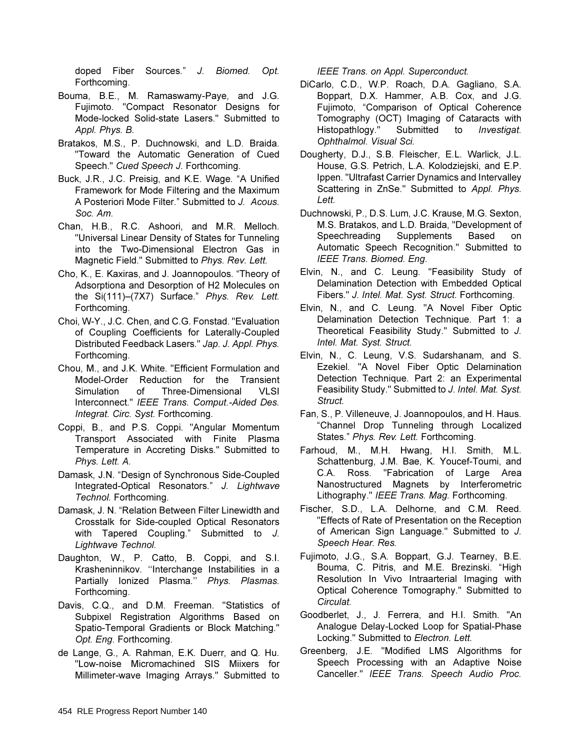doped Fiber Sources." J. Biomed. Opt. Forthcoming.

- Bouma, B.E., M. Ramaswamy-Paye, and J.G. Fujimoto. "Compact Resonator Designs for Mode-locked Solid-state Lasers." Submitted to Appl. Phys. B.
- Bratakos, M.S., P. Duchnowski, and L.D. Braida. "Toward the Automatic Generation of Cued Speech." Cued Speech J. Forthcoming.
- Buck, J.R., J.C. Preisig, and K.E. Wage. "A Unified Framework for Mode Filtering and the Maximum A Posteriori Mode Filter." Submitted to J. Acous. Soc. Am.
- Chan, H.B., R.C. Ashoori, and M.R. Melloch. "Universal Linear Density of States for Tunneling into the Two-Dimensional Electron Gas in Magnetic Field." Submitted to Phys. Rev. Lett.
- Cho, K., E. Kaxiras, and J. Joannopoulos. "Theory of Adsorptiona and Desorption of H2 Molecules on the Si(111)-(7X7) Surface." Phys. Rev. Lett. Forthcoming.
- Choi, W-Y., J.C. Chen, and C.G. Fonstad. "Evaluation of Coupling Coefficients for Laterally-Coupled Distributed Feedback Lasers." Jap. J. Appl. Phys. Forthcoming.
- Chou, M., and J.K. White. "Efficient Formulation and Model-Order Reduction for the Transient Three-Dimensional **VLSI** Simulation of Interconnect." IEEE Trans. Comput.-Aided Des. Integrat. Circ. Syst. Forthcoming.
- Coppi, B., and P.S. Coppi. "Angular Momentum Transport Associated with Finite Plasma Temperature in Accreting Disks." Submitted to Phys. Lett. A.
- Damask, J.N. "Design of Synchronous Side-Coupled Integrated-Optical Resonators." J. Lightwave Technol. Forthcoming.
- Damask, J. N. "Relation Between Filter Linewidth and Crosstalk for Side-coupled Optical Resonators with Tapered Coupling." Submitted to J. Lightwave Technol.
- Daughton, W., P. Catto, B. Coppi, and S.I. Krasheninnikov. "Interchange Instabilities in a Partially Ionized Plasma." Phys. Plasmas. Forthcoming.
- Davis, C.Q., and D.M. Freeman. "Statistics of Subpixel Registration Algorithms Based on Spatio-Temporal Gradients or Block Matching." Opt. Eng. Forthcoming.
- de Lange, G., A. Rahman, E.K. Duerr, and Q. Hu. "Low-noise Micromachined SIS Miixers for Millimeter-wave Imaging Arrays." Submitted to

IEEE Trans. on Appl. Superconduct.

- DiCarlo, C.D., W.P. Roach, D.A. Gagliano, S.A. Boppart, D.X. Hammer, A.B. Cox, and J.G. Fujimoto, "Comparison of Optical Coherence Tomography (OCT) Imaging of Cataracts with Histopathlogy." Submitted to Investigat. Ophthalmol. Visual Sci.
- Dougherty, D.J., S.B. Fleischer, E.L. Warlick, J.L. House, G.S. Petrich, L.A. Kolodziejski, and E.P. Ippen. "Ultrafast Carrier Dynamics and Intervalley Scattering in ZnSe." Submitted to Appl. Phys. Lett.
- Duchnowski, P., D.S. Lum, J.C. Krause, M.G. Sexton, M.S. Bratakos, and L.D. Braida, "Development of Speechreading Supplements Based on Automatic Speech Recognition." Submitted to IEEE Trans. Biomed. Eng.
- Elvin, N., and C. Leung. "Feasibility Study of Delamination Detection with Embedded Optical Fibers." J. Intel. Mat. Syst. Struct. Forthcoming.
- Elvin, N., and C. Leung. "A Novel Fiber Optic Delamination Detection Technique. Part 1: a Theoretical Feasibility Study." Submitted to J. Intel. Mat. Syst. Struct.
- Elvin, N., C. Leung, V.S. Sudarshanam, and S. Ezekiel. "A Novel Fiber Optic Delamination Detection Technique. Part 2: an Experimental Feasibility Study." Submitted to J. Intel. Mat. Syst. Struct.
- Fan, S., P. Villeneuve, J. Joannopoulos, and H. Haus. "Channel Drop Tunneling through Localized States." Phys. Rev. Lett. Forthcoming.
- Farhoud, M., M.H. Hwang, H.I. Smith, M.L. Schattenburg, J.M. Bae, K. Youcef-Toumi, and C.A. Ross. "Fabrication of Large Area Nanostructured Magnets by Interferometric Lithography." IEEE Trans. Mag. Forthcoming.
- Fischer, S.D., L.A. Delhorne, and C.M. Reed. "Effects of Rate of Presentation on the Reception of American Sign Language." Submitted to J. Speech Hear. Res.
- Fujimoto, J.G., S.A. Boppart, G.J. Tearney, B.E. Bouma, C. Pitris, and M.E. Brezinski. "High Resolution In Vivo Intraarterial Imaging with Optical Coherence Tomography." Submitted to Circulat.
- Goodberlet, J., J. Ferrera, and H.I. Smith. "An Analogue Delay-Locked Loop for Spatial-Phase Locking." Submitted to Electron. Lett.
- Greenberg, J.E. "Modified LMS Algorithms for Speech Processing with an Adaptive Noise Canceller." IEEE Trans. Speech Audio Proc.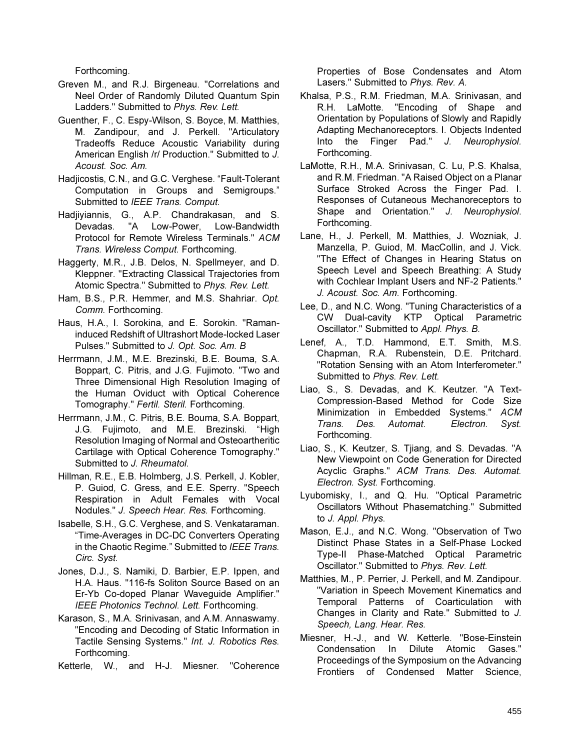Forthcoming.

- Greven M., and R.J. Birgeneau. "Correlations and Neel Order of Randomly Diluted Quantum Spin Ladders." Submitted to Phys. Rev. Lett.
- Guenther, F., C. Espy-Wilson, S. Boyce, M. Matthies, M. Zandipour, and J. Perkell. "Articulatory Tradeoffs Reduce Acoustic Variability during American English /r/ Production." Submitted to J. Acoust. Soc. Am.
- Hadjicostis, C.N., and G.C. Verghese. "Fault-Tolerant Computation in Groups and Semigroups." Submitted to IEEE Trans. Comput.
- Hadjiyiannis, G., A.P. Chandrakasan, and S. "A Low-Power, Low-Bandwidth Devadas. Protocol for Remote Wireless Terminals." ACM Trans. Wireless Comput. Forthcoming.
- Haggerty, M.R., J.B. Delos, N. Spellmeyer, and D. Kleppner. "Extracting Classical Trajectories from Atomic Spectra." Submitted to Phys. Rev. Lett.
- Ham, B.S., P.R. Hemmer, and M.S. Shahriar. Opt. Comm. Forthcoming.
- Haus, H.A., I. Sorokina, and E. Sorokin. "Ramaninduced Redshift of Ultrashort Mode-locked Laser Pulses." Submitted to J. Opt. Soc. Am. B
- Herrmann, J.M., M.E. Brezinski, B.E. Bouma, S.A. Boppart, C. Pitris, and J.G. Fujimoto. "Two and Three Dimensional High Resolution Imaging of the Human Oviduct with Optical Coherence Tomography." Fertil. Steril. Forthcoming.
- Herrmann, J.M., C. Pitris, B.E. Bouma, S.A. Boppart, J.G. Fujimoto, and M.E. Brezinski. "High Resolution Imaging of Normal and Osteoartheritic Cartilage with Optical Coherence Tomography." Submitted to J. Rheumatol.
- Hillman, R.E., E.B. Holmberg, J.S. Perkell, J. Kobler, P. Guiod, C. Gress, and E.E. Sperry. "Speech Respiration in Adult Females with Vocal Nodules." J. Speech Hear. Res. Forthcoming.
- Isabelle, S.H., G.C. Verghese, and S. Venkataraman. "Time-Averages in DC-DC Converters Operating in the Chaotic Regime." Submitted to IEEE Trans. Circ. Syst.
- Jones, D.J., S. Namiki, D. Barbier, E.P. Ippen, and H.A. Haus. "116-fs Soliton Source Based on an Er-Yb Co-doped Planar Waveguide Amplifier." IEEE Photonics Technol. Lett. Forthcoming.
- Karason, S., M.A. Srinivasan, and A.M. Annaswamy. "Encoding and Decoding of Static Information in Tactile Sensing Systems." Int. J. Robotics Res. Forthcoming.
- Ketterle, W., and H-J. Miesner. "Coherence

Properties of Bose Condensates and Atom Lasers." Submitted to Phys. Rev. A.

- Khalsa, P.S., R.M. Friedman, M.A. Srinivasan, and R.H. LaMotte. "Encoding of Shape and Orientation by Populations of Slowly and Rapidly Adapting Mechanoreceptors. I. Objects Indented Into the Finger Pad." J. Neurophysiol. Forthcoming.
- LaMotte, R.H., M.A. Srinivasan, C. Lu, P.S. Khalsa, and R.M. Friedman. "A Raised Object on a Planar Surface Stroked Across the Finger Pad. I. Responses of Cutaneous Mechanoreceptors to Shape and Orientation." J. Neurophysiol. Forthcoming.
- Lane, H., J. Perkell, M. Matthies, J. Wozniak, J. Manzella, P. Guiod, M. MacCollin, and J. Vick. "The Effect of Changes in Hearing Status on Speech Level and Speech Breathing: A Study with Cochlear Implant Users and NF-2 Patients." J. Acoust. Soc. Am. Forthcoming.
- Lee, D., and N.C. Wong. "Tuning Characteristics of a CW Dual-cavity KTP Optical Parametric Oscillator." Submitted to Appl. Phys. B.
- Lenef, A., T.D. Hammond, E.T. Smith, M.S. Chapman, R.A. Rubenstein, D.E. Pritchard. "Rotation Sensing with an Atom Interferometer." Submitted to Phys. Rev. Lett.
- Liao, S., S. Devadas, and K. Keutzer. "A Text-Compression-Based Method for Code Size Minimization in Embedded Systems." ACM Trans. Des. Automat. Electron. Syst. Forthcoming.
- Liao, S., K. Keutzer, S. Tjiang, and S. Devadas. "A New Viewpoint on Code Generation for Directed Acyclic Graphs." ACM Trans. Des. Automat. Electron. Syst. Forthcoming.
- Lyubomisky, I., and Q. Hu. "Optical Parametric Oscillators Without Phasematching." Submitted to J. Appl. Phys.
- Mason, E.J., and N.C. Wong. "Observation of Two Distinct Phase States in a Self-Phase Locked Type-II Phase-Matched Optical Parametric Oscillator." Submitted to Phys. Rev. Lett.
- Matthies, M., P. Perrier, J. Perkell, and M. Zandipour. "Variation in Speech Movement Kinematics and Temporal Patterns of Coarticulation with Changes in Clarity and Rate." Submitted to J. Speech, Lang. Hear. Res.
- Miesner, H.-J., and W. Ketterle. "Bose-Einstein Condensation In Dilute Atomic Gases." Proceedings of the Symposium on the Advancing Frontiers of Condensed Matter Science,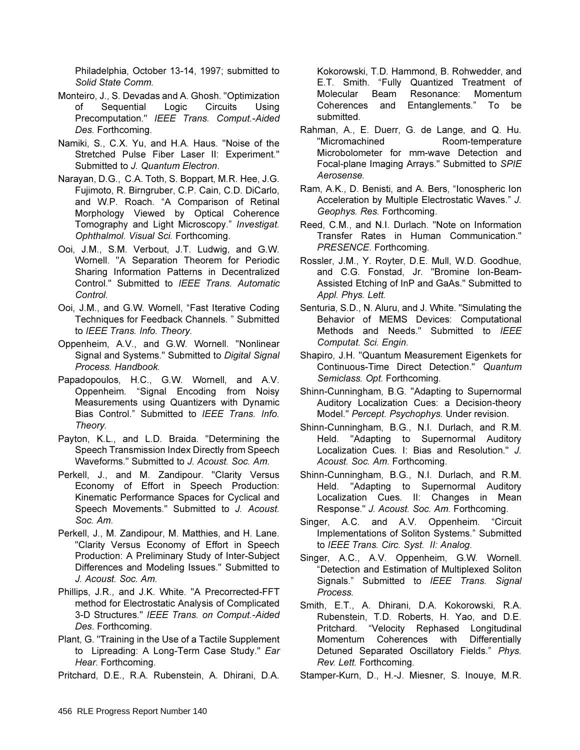Philadelphia, October 13-14, 1997; submitted to Solid State Comm.

- Monteiro, J., S. Devadas and A. Ghosh. "Optimization Sequential nf. Logic Circuits Using Precomputation." IEEE Trans. Comput.-Aided Des. Forthcoming.
- Namiki, S., C.X. Yu, and H.A. Haus. "Noise of the Stretched Pulse Fiber Laser II: Experiment." Submitted to J. Quantum Electron.
- Narayan, D.G., C.A. Toth, S. Boppart, M.R. Hee, J.G. Fujimoto, R. Birngruber, C.P. Cain, C.D. DiCarlo, and W.P. Roach. "A Comparison of Retinal Morphology Viewed by Optical Coherence Tomography and Light Microscopy." Investigat. Ophthalmol. Visual Sci. Forthcoming.
- Ooi, J.M., S.M. Verbout, J.T. Ludwig, and G.W. Wornell. "A Separation Theorem for Periodic Sharing Information Patterns in Decentralized Control." Submitted to IEEE Trans. Automatic Control.
- Ooi, J.M., and G.W. Wornell, "Fast Iterative Coding Techniques for Feedback Channels. " Submitted to IEEE Trans. Info. Theory.
- Oppenheim, A.V., and G.W. Wornell. "Nonlinear Signal and Systems." Submitted to Digital Signal Process. Handbook.
- Papadopoulos, H.C., G.W. Wornell, and A.V. Oppenheim. "Signal Encoding from Noisy Measurements using Quantizers with Dynamic Bias Control." Submitted to IEEE Trans. Info. Theory.
- Payton, K.L., and L.D. Braida. "Determining the Speech Transmission Index Directly from Speech Waveforms." Submitted to J. Acoust. Soc. Am.
- Perkell, J., and M. Zandipour. "Clarity Versus Economy of Effort in Speech Production: Kinematic Performance Spaces for Cyclical and Speech Movements." Submitted to J. Acoust. Soc. Am.
- Perkell, J., M. Zandipour, M. Matthies, and H. Lane. "Clarity Versus Economy of Effort in Speech Production: A Preliminary Study of Inter-Subject Differences and Modeling Issues." Submitted to J. Acoust. Soc. Am.
- Phillips, J.R., and J.K. White. "A Precorrected-FFT method for Electrostatic Analysis of Complicated 3-D Structures." IEEE Trans. on Comput.-Aided Des. Forthcoming.
- Plant, G. "Training in the Use of a Tactile Supplement to Lipreading: A Long-Term Case Study." Ear Hear. Forthcoming.
- Pritchard, D.E., R.A. Rubenstein, A. Dhirani, D.A.

Kokorowski, T.D. Hammond, B. Rohwedder, and E.T. Smith. "Fully Quantized Treatment of Molecular Beam Resonance: Momentum Coherences and Entanglements." To be submitted.

- Rahman, A., E. Duerr, G. de Lange, and Q. Hu. "Micromachined Room-temperature Microbolometer for mm-wave Detection and Focal-plane Imaging Arrays." Submitted to SPIE Aerosense.
- Ram, A.K., D. Benisti, and A. Bers, "Ionospheric Ion Acceleration by Multiple Electrostatic Waves." J. Geophys. Res. Forthcoming.
- Reed, C.M., and N.I. Durlach. "Note on Information Transfer Rates in Human Communication." PRESENCE. Forthcoming.
- Rossler, J.M., Y. Royter, D.E. Mull, W.D. Goodhue, and C.G. Fonstad. Jr. "Bromine Ion-Beam-Assisted Etching of InP and GaAs." Submitted to Appl. Phys. Lett.
- Senturia, S.D., N. Aluru, and J. White. "Simulating the Behavior of MEMS Devices: Computational Methods and Needs." Submitted to IEEE Computat. Sci. Engin.
- Shapiro, J.H. "Quantum Measurement Eigenkets for Continuous-Time Direct Detection." Quantum Semiclass. Opt. Forthcoming.
- Shinn-Cunningham, B.G. "Adapting to Supernormal Auditory Localization Cues: a Decision-theory Model." Percept. Psychophys. Under revision.
- Shinn-Cunningham, B.G., N.I. Durlach, and R.M. Held. "Adapting to Supernormal Auditory Localization Cues. I: Bias and Resolution." J. Acoust. Soc. Am. Forthcoming.
- Shinn-Cunningham, B.G., N.I. Durlach, and R.M. "Adapting to Supernormal Auditory Held. Localization Cues. II: Changes in Mean Response." J. Acoust. Soc. Am. Forthcoming.
- Singer. A.C. and A.V. Oppenheim. "Circuit Implementations of Soliton Systems." Submitted to IEEE Trans. Circ. Syst. II: Analog.
- Singer, A.C., A.V. Oppenheim, G.W. Wornell. "Detection and Estimation of Multiplexed Soliton Signals." Submitted to IEEE Trans. Signal Process.
- Smith, E.T., A. Dhirani, D.A. Kokorowski, R.A. Rubenstein, T.D. Roberts, H. Yao, and D.E. Pritchard. "Velocity Rephased Longitudinal Momentum Coherences with Differentially Detuned Separated Oscillatory Fields." Phys. Rev. Lett. Forthcoming.
- Stamper-Kurn, D., H.-J. Miesner, S. Inouye, M.R.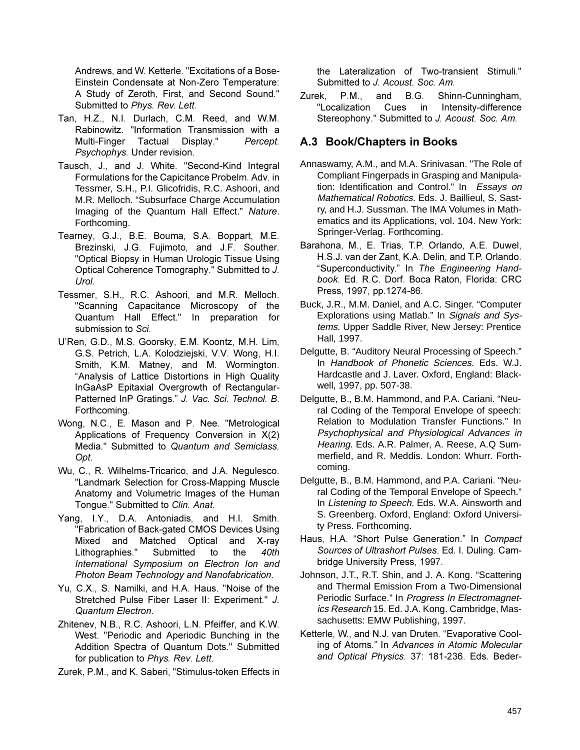Andrews, and W. Ketterle. "Excitations of a Bose-Einstein Condensate at Non-Zero Temperature: A Study of Zeroth, First, and Second Sound." Submitted to Phys. Rev. Lett.

- Tan, H.Z., N.I. Durlach, C.M. Reed, and W.M. Rabinowitz. "Information Transmission with a Multi-Finger Tactual Display." Percept. Psychophys. Under revision.
- Tausch, J., and J. White. "Second-Kind Integral Formulations for the Capicitance Probelm. Adv. in Tessmer, S.H., P.I. Glicofridis, R.C. Ashoori, and M.R. Melloch. "Subsurface Charge Accumulation Imaging of the Quantum Hall Effect." Nature. Forthcoming.
- Tearney, G.J., B.E. Bouma, S.A. Boppart, M.E. Brezinski, J.G. Fujimoto, and J.F. Souther. "Optical Biopsy in Human Urologic Tissue Using Optical Coherence Tomography." Submitted to J. Urol.
- Tessmer, S.H., R.C. Ashoori, and M.R. Melloch. "Scanning Capacitance Microscopy of the Quantum Hall Effect." In preparation for submission to Sci.
- U'Ren, G.D., M.S. Goorsky, E.M. Koontz, M.H. Lim, G.S. Petrich, L.A. Kolodziejski, V.V. Wong, H.I. Smith, K.M. Matney, and M. Wormington. "Analysis of Lattice Distortions in High Quality InGaAsP Epitaxial Overgrowth of Rectangular-Patterned InP Gratings." J. Vac. Sci. Technol. B. Forthcoming.
- Wong, N.C., E. Mason and P. Nee. "Metrological Applications of Frequency Conversion in X(2) Media." Submitted to Quantum and Semiclass. Opt.
- Wu, C., R. Wilhelms-Tricarico, and J.A. Negulesco. "Landmark Selection for Cross-Mapping Muscle Anatomy and Volumetric Images of the Human Tongue." Submitted to Clin. Anat.
- Yang, I.Y., D.A. Antoniadis, and H.I. Smith. "Fabrication of Back-gated CMOS Devices Using Mixed and Matched Optical and X-rav Lithographies." Submitted the 40th to International Symposium on Electron Ion and Photon Beam Technology and Nanofabrication.
- Yu, C.X., S. Namilki, and H.A. Haus. "Noise of the Stretched Pulse Fiber Laser II: Experiment." J. Quantum Electron.
- Zhitenev, N.B., R.C. Ashoori, L.N. Pfeiffer, and K.W. West. "Periodic and Aperiodic Bunching in the Addition Spectra of Quantum Dots." Submitted for publication to Phys. Rev. Lett.
- Zurek, P.M., and K. Saberi, "Stimulus-token Effects in

the Lateralization of Two-transient Stimuli." Submitted to J. Acoust. Soc. Am.

Zurek.  $P.M.,$ and  $B.G.$ Shinn-Cunningham, Intensity-difference "Localization Cues in Stereophony." Submitted to J. Acoust. Soc. Am.

## A.3 Book/Chapters in Books

- Annaswamy, A.M., and M.A. Srinivasan. "The Role of Compliant Fingerpads in Grasping and Manipulation: Identification and Control." In Essays on Mathematical Robotics. Eds. J. Baillieul, S. Sastry, and H.J. Sussman. The IMA Volumes in Mathematics and its Applications, vol. 104. New York: Springer-Verlag. Forthcoming.
- Barahona, M., E. Trias, T.P. Orlando, A.E. Duwel, H.S.J. van der Zant, K.A. Delin, and T.P. Orlando. "Superconductivity." In The Engineering Handbook. Ed. R.C. Dorf. Boca Raton, Florida: CRC Press, 1997, pp.1274-86.
- Buck, J.R., M.M. Daniel, and A.C. Singer. "Computer Explorations using Matlab." In Signals and Systems. Upper Saddle River, New Jersey: Prentice Hall, 1997.
- Delgutte, B. "Auditory Neural Processing of Speech." In Handbook of Phonetic Sciences. Eds. W.J. Hardcastle and J. Laver. Oxford, England: Blackwell, 1997, pp. 507-38.
- Delqutte, B., B.M. Hammond, and P.A. Cariani. "Neural Coding of the Temporal Envelope of speech: Relation to Modulation Transfer Functions." In Psychophysical and Physiological Advances in Hearing. Eds. A.R. Palmer, A. Reese, A.Q Summerfield, and R. Meddis, London: Whurr, Forthcomina.
- Delgutte, B., B.M. Hammond, and P.A. Cariani. "Neural Coding of the Temporal Envelope of Speech." In Listening to Speech. Eds. W.A. Ainsworth and S. Greenberg. Oxford, England: Oxford University Press. Forthcoming.
- Haus, H.A. "Short Pulse Generation." In Compact Sources of Ultrashort Pulses. Ed. I. Duling. Cambridge University Press, 1997.
- Johnson, J.T., R.T. Shin, and J. A. Kong. "Scattering and Thermal Emission From a Two-Dimensional Periodic Surface." In Progress In Electromagnetics Research 15. Ed. J.A. Kong. Cambridge, Massachusetts: EMW Publishing, 1997.
- Ketterle, W., and N.J. van Druten. "Evaporative Cooling of Atoms." In Advances in Atomic Molecular and Optical Physics. 37: 181-236. Eds. Beder-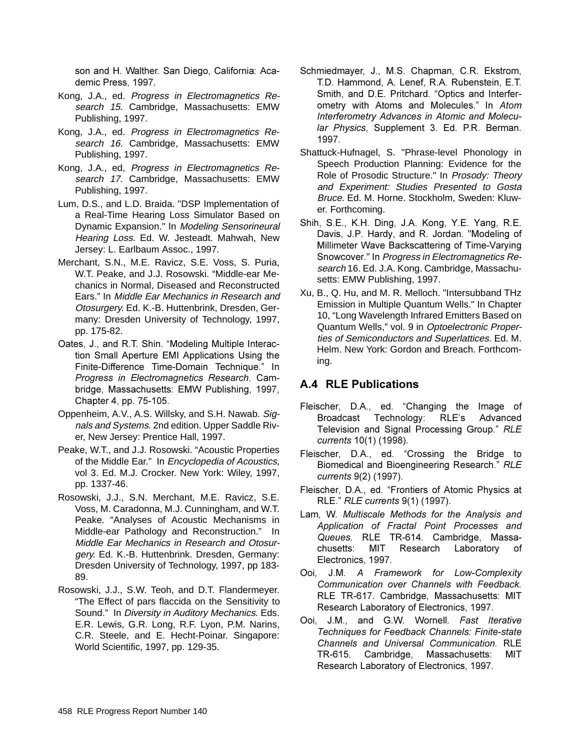son and H. Walther. San Diego, California: Academic Press, 1997.

- Kong, J.A., ed. Progress in Electromagnetics Research 15. Cambridge, Massachusetts: EMW Publishing, 1997.
- Kong, J.A., ed. Progress in Electromagnetics Research 16. Cambridge, Massachusetts: EMW Publishing, 1997.
- Kong, J.A., ed, Progress in Electromagnetics Research 17. Cambridge, Massachusetts: EMW Publishing, 1997.
- Lum, D.S., and L.D. Braida. "DSP Implementation of a Real-Time Hearing Loss Simulator Based on Dynamic Expansion." In Modeling Sensorineural Hearing Loss. Ed. W. Jesteadt. Mahwah, New Jersey: L. Earlbaum Assoc., 1997.
- Merchant, S.N., M.E. Ravicz, S.E. Voss, S. Puria, W.T. Peake, and J.J. Rosowski, "Middle-ear Mechanics in Normal. Diseased and Reconstructed Ears." In Middle Ear Mechanics in Research and Otosurgery. Ed. K.-B. Huttenbrink, Dresden, Germany: Dresden University of Technology, 1997, pp. 175-82.
- Oates, J., and R.T. Shin. "Modeling Multiple Interaction Small Aperture EMI Applications Using the Finite-Difference Time-Domain Technique." In Progress in Electromagnetics Research. Cambridge, Massachusetts: EMW Publishing, 1997, Chapter 4, pp. 75-105.
- Oppenheim, A.V., A.S. Willsky, and S.H. Nawab. Signals and Systems. 2nd edition. Upper Saddle River, New Jersey: Prentice Hall, 1997.
- Peake, W.T., and J.J. Rosowski, "Acoustic Properties of the Middle Ear." In Encyclopedia of Acoustics, vol 3. Ed. M.J. Crocker. New York: Wiley, 1997, pp. 1337-46.
- Rosowski, J.J., S.N. Merchant, M.E. Ravicz, S.E. Voss, M. Caradonna, M.J. Cunningham, and W.T. Peake. "Analyses of Acoustic Mechanisms in Middle-ear Pathology and Reconstruction." In Middle Ear Mechanics in Research and Otosurgery. Ed. K.-B. Huttenbrink. Dresden, Germany: Dresden University of Technology, 1997, pp 183-89.
- Rosowski, J.J., S.W. Teoh, and D.T. Flandermeyer. "The Effect of pars flaccida on the Sensitivity to Sound." In Diversity in Auditory Mechanics. Eds. E.R. Lewis, G.R. Long, R.F. Lyon, P.M. Narins, C.R. Steele, and E. Hecht-Poinar. Singapore: World Scientific, 1997, pp. 129-35.
- Schmiedmayer, J., M.S. Chapman, C.R. Ekstrom, T.D. Hammond, A. Lenef, R.A. Rubenstein, E.T. Smith, and D.E. Pritchard. "Optics and Interferometry with Atoms and Molecules." In Atom Interferometry Advances in Atomic and Molecular Physics, Supplement 3. Ed. P.R. Berman. 1997.
- Shattuck-Hufnagel, S. "Phrase-level Phonology in Speech Production Planning: Evidence for the Role of Prosodic Structure." In Prosody: Theory and Experiment: Studies Presented to Gosta Bruce. Ed. M. Horne. Stockholm, Sweden: Kluwer. Forthcoming.
- Shih, S.E., K.H. Ding, J.A. Kong, Y.E. Yang, R.E. Davis, J.P. Hardy, and R. Jordan. "Modeling of Millimeter Wave Backscattering of Time-Varying Snowcover." In Progress in Electromagnetics Research 16. Ed. J.A. Kong. Cambridge, Massachusetts: EMW Publishing, 1997.
- Xu, B., Q. Hu, and M. R. Melloch. "Intersubband THz Emission in Multiple Quantum Wells." In Chapter 10, "Long Wavelength Infrared Emitters Based on Quantum Wells," vol. 9 in Optoelectronic Properties of Semiconductors and Superlattices. Ed. M. Helm. New York: Gordon and Breach. Forthcoming.

## **A.4 RLE Publications**

- Fleischer, D.A., ed. "Changing the Image of Broadcast Technology: RLE's Advanced Television and Signal Processing Group." RLE currents 10(1) (1998).
- Fleischer, D.A., ed. "Crossing the Bridge to Biomedical and Bioengineering Research." RLE currents 9(2) (1997).
- Fleischer, D.A., ed. "Frontiers of Atomic Physics at RLE." RLE currents 9(1) (1997).
- Lam, W. Multiscale Methods for the Analysis and Application of Fractal Point Processes and Queues. RLE TR-614. Cambridge, Massachusetts: MIT Research Laboratory of Electronics, 1997.
- Ooi, J.M. A Framework for Low-Complexity Communication over Channels with Feedback. RLE TR-617. Cambridge, Massachusetts: MIT Research Laboratory of Electronics, 1997.
- Ooi. J.M., and G.W. Wornell. Fast Iterative Techniques for Feedback Channels: Finite-state Channels and Universal Communication RLF TR-615. Cambridge, Massachusetts: **MIT** Research Laboratory of Electronics, 1997.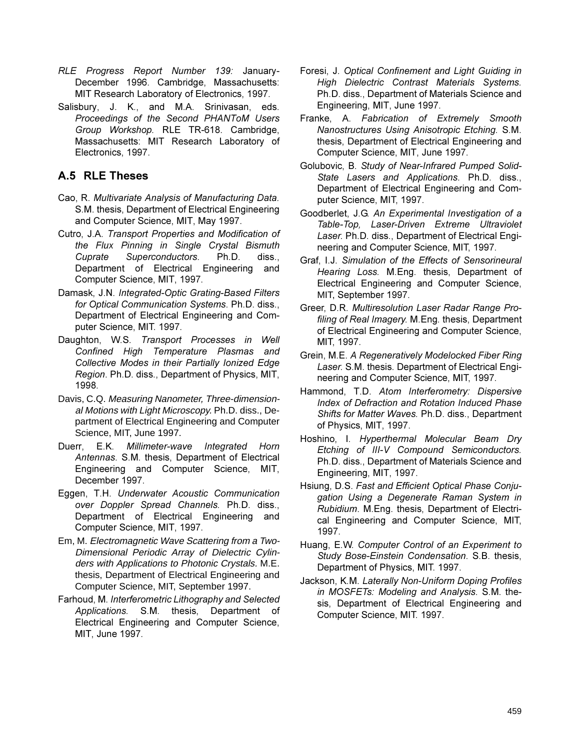- RLE Progress Report Number 139: January-December 1996. Cambridge, Massachusetts: MIT Research Laboratory of Electronics, 1997.
- Salisbury, J. K., and M.A. Srinivasan, eds. Proceedings of the Second PHANToM Users Group Workshop. RLE TR-618. Cambridge, Massachusetts: MIT Research Laboratory of Electronics, 1997.

## A.5 RLE Theses

- Cao, R. Multivariate Analysis of Manufacturing Data. S.M. thesis, Department of Electrical Engineering and Computer Science, MIT, May 1997.
- Cutro, J.A. Transport Properties and Modification of the Flux Pinning in Single Crystal Bismuth Superconductors. Ph.D. Cuprate diss.. Department of Electrical Engineering and Computer Science, MIT, 1997.
- Damask, J.N. Integrated-Optic Grating-Based Filters for Optical Communication Systems. Ph.D. diss., Department of Electrical Engineering and Computer Science, MIT. 1997.
- Daughton, W.S. Transport Processes in Well Confined High Temperature Plasmas and Collective Modes in their Partially Ionized Edge Region. Ph.D. diss., Department of Physics, MIT, 1998.
- Davis, C.Q. Measuring Nanometer, Three-dimensional Motions with Light Microscopy. Ph.D. diss., Department of Electrical Engineering and Computer Science, MIT, June 1997.
- $E.K.$ Duerr. Millimeter-wave Integrated Horn Antennas. S.M. thesis, Department of Electrical Engineering and Computer Science, MIT, December 1997.
- Eggen, T.H. Underwater Acoustic Communication over Doppler Spread Channels. Ph.D. diss., Department of Electrical Engineering and Computer Science, MIT, 1997.
- Em, M. Electromagnetic Wave Scattering from a Two-Dimensional Periodic Array of Dielectric Cylinders with Applications to Photonic Crystals. M.E. thesis. Department of Electrical Engineering and Computer Science, MIT, September 1997.
- Farhoud, M. Interferometric Lithography and Selected Applications. S.M. thesis, Department of Electrical Engineering and Computer Science, MIT, June 1997.
- Foresi, J. Optical Confinement and Light Guiding in High Dielectric Contrast Materials Systems. Ph.D. diss., Department of Materials Science and Engineering, MIT, June 1997.
- Franke, A. Fabrication of Extremely Smooth Nanostructures Using Anisotropic Etching. S.M. thesis, Department of Electrical Engineering and Computer Science, MIT, June 1997.
- Golubovic, B. Study of Near-Infrared Pumped Solid-State Lasers and Applications. Ph.D. diss., Department of Electrical Engineering and Computer Science, MIT, 1997.
- Goodberlet, J.G. An Experimental Investigation of a Table-Top, Laser-Driven Extreme Ultraviolet Laser. Ph.D. diss., Department of Electrical Engineering and Computer Science, MIT, 1997.
- Graf, I.J. Simulation of the Effects of Sensorineural Hearing Loss. M. Eng. thesis, Department of Electrical Engineering and Computer Science, MIT, September 1997.
- Greer, D.R. Multiresolution Laser Radar Range Profiling of Real Imagery. M. Eng. thesis, Department of Electrical Engineering and Computer Science. MIT, 1997.
- Grein, M.E. A Regeneratively Modelocked Fiber Ring Laser. S.M. thesis. Department of Electrical Engineering and Computer Science, MIT, 1997.
- Hammond, T.D. Atom Interferometry: Dispersive Index of Defraction and Rotation Induced Phase Shifts for Matter Waves. Ph.D. diss., Department of Physics, MIT, 1997.
- Hoshino, I. Hyperthermal Molecular Beam Dry Etching of III-V Compound Semiconductors. Ph.D. diss., Department of Materials Science and Engineering, MIT, 1997.
- Hsiung, D.S. Fast and Efficient Optical Phase Conjugation Using a Degenerate Raman System in Rubidium. M.Eng. thesis, Department of Electrical Engineering and Computer Science, MIT, 1997.
- Huang, E.W. Computer Control of an Experiment to Study Bose-Einstein Condensation. S.B. thesis, Department of Physics, MIT. 1997.
- Jackson, K.M. Laterally Non-Uniform Doping Profiles in MOSFETs: Modeling and Analysis. S.M. thesis, Department of Electrical Engineering and Computer Science, MIT. 1997.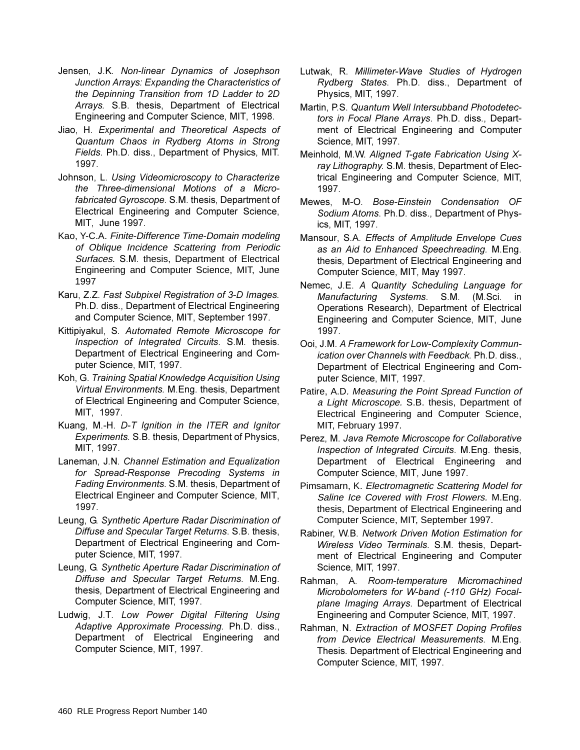- Jensen, J.K. Non-linear Dynamics of Josephson Junction Arrays: Expanding the Characteristics of *the Depinning Transition from 1D Ladder to 2D* Arrays. S.B. thesis, Department of Electrical Engineering and Computer Science, MIT, 1998.
- Jiao, H. Experimental and Theoretical Aspects of Quantum Chaos in Rydberg Atoms in Strong *Fields. Ph.D. diss., Department of Physics, MIT.* 1997.
- Johnson, L. Using Videomicroscopy to Characterize *the Three-dimensional Motions of a Microfabricated Gyroscope. S.M. thesis, Department of* Electrical Engineering and Computer Science, MIT. June 1997.
- Kao, Y-C.A. Finite-Difference Time-Domain modeling of Oblique Incidence Scattering from Periodic Surfaces. S.M. thesis, Department of Electrical Engineering and Computer Science, MIT, June 1997
- Karu, Z.Z. Fast Subpixel Registration of 3-D Images. Ph.D. diss., Department of Electrical Engineering and Computer Science, MIT, September 1997.
- Kittipiyakul, S. Automated Remote Microscope for *Inspection of Integrated Circuits.* S.M. thesis. Department of Electrical Engineering and Computer Science, MIT, 1997.
- Koh, G. Training Spatial Knowledge Acquisition Using *Virtual Environments.* M. Eng. thesis, Department of Electrical Engineering and Computer Science, MIT, 1997.
- Kuang, M.-H. D-T Ignition in the ITER and Ignitor *Experiments.* S.B. thesis, Department of Physics, MIT, 1997.
- Laneman, J.N. Channel Estimation and Equalization *<i>Ior* Spread-Response Precoding Systems in Fading Environments. S.M. thesis, Department of Electrical Engineer and Computer Science, MIT, 1997.
- Leung, G. Synthetic Aperture Radar Discrimination of *Diffuse and Specular Target Returns. S.B. thesis,* Department of Electrical Engineering and Computer Science, MIT, 1997.
- Leung, G. Synthetic Aperture Radar Discrimination of *Diffuse and Specular Target Returns. M.Eng.* thesis, Department of Electrical Engineering and Computer Science, MIT, 1997.
- Ludwig, J.T. Low Power Digital Filtering Using Adaptive Approximate Processing. Ph.D. diss., Department of Electrical Engineering and Computer Science, MIT, 1997.
- Lutwak, R. Millimeter-Wave Studies of Hydrogen *Rydberg States.* Ph.D. diss., Department of Physics, MIT, 1997.
- Martin, P.S. Quantum Well Intersubband Photodetec*tors in Focal Plane Arrays. Ph.D. diss., Depart*ment of Electrical Engineering and Computer Science, MIT, 1997.
- Meinhold, M.W. Aligned T-gate Fabrication Using Xray Lithography. S.M. thesis, Department of Electrical Engineering and Computer Science, MIT, 1997.
- Mewes, M-O. Bose-Einstein Condensation OF Sodium Atoms. Ph.D. diss., Department of Physics, MIT, 1997.
- Mansour, S.A. Effects of Amplitude Envelope Cues as an Aid to Enhanced Speechreading. M.Eng. thesis, Department of Electrical Engineering and Computer Science, MIT, May 1997.
- Nemec, J.E. A Quantity Scheduling Language for *Manufacturing* Systems. S.M. (M.Sci. in Operations Research), Department of Electrical Engineering and Computer Science, MIT, June 1997
- **Ooi, J.M. A Framework for Low-Complexity Commun***ication over Channels with Feedback. Ph.D. diss.,* Department of Electrical Engineering and Computer Science, MIT, 1997.
- Patire, A.D. Measuring the Point Spread Function of a Light Microscope. S.B. thesis, Department of Electrical Engineering and Computer Science, MIT, February 1997.
- Perez, M. Java Remote Microscope for Collaborative *Inspection of Integrated Circuits. M.Eng. thesis.* Department of Electrical Engineering and Computer Science, MIT, June 1997.
- Pimsamarn, K. Electromagnetic Scattering Model for Saline Ice Covered with Frost Flowers. M.Eng. thesis, Department of Electrical Engineering and Computer Science, MIT, September 1997.
- Rabiner, W.B. Network Driven Motion Estimation for *Wireless Video Terminals. S.M. thesis, Depart*ment of Electrical Engineering and Computer Science, MIT, 1997.
- Rahman, A. Room-temperature Micromachined *Microbolometers for W-band (-110 GHz) Focal*plane Imaging Arrays. Department of Electrical Engineering and Computer Science, MIT, 1997.
- Rahman, N. Extraction of MOSFET Doping Profiles *from Device Electrical Measurements. M.Eng.* Thesis. Department of Electrical Engineering and Computer Science, MIT, 1997.